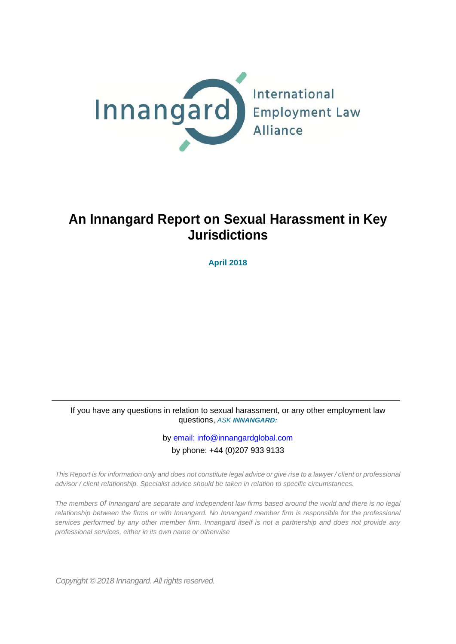

# **An Innangard Report on Sexual Harassment in Key Jurisdictions**

**April 2018**

If you have any questions in relation to sexual harassment, or any other employment law questions, *ASK INNANGARD:*

> by [email:](mailto:info@innangardglobal.com) info@innangardglobal.com by phone: +44 (0)207 933 9133

*This Report is for information only and does not constitute legal advice or give rise to a lawyer / client or professional advisor / client relationship. Specialist advice should be taken in relation to specific circumstances.*

*The members of Innangard are separate and independent law firms based around the world and there is no legal relationship between the firms or with Innangard. No Innangard member firm is responsible for the professional services performed by any other member firm. Innangard itself is not a partnership and does not provide any professional services, either in its own name or otherwise*

*Copyright © 2018 Innangard. All rights reserved.*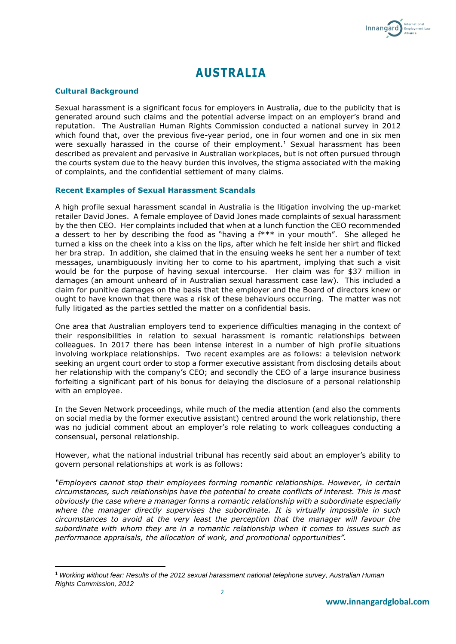

## **AUSTRALIA**

## **Cultural Background**

**.** 

Sexual harassment is a significant focus for employers in Australia, due to the publicity that is generated around such claims and the potential adverse impact on an employer's brand and reputation. The Australian Human Rights Commission conducted a national survey in 2012 which found that, over the previous five-year period, one in four women and one in six men were sexually harassed in the course of their employment.<sup>1</sup> Sexual harassment has been described as prevalent and pervasive in Australian workplaces, but is not often pursued through the courts system due to the heavy burden this involves, the stigma associated with the making of complaints, and the confidential settlement of many claims.

## **Recent Examples of Sexual Harassment Scandals**

A high profile sexual harassment scandal in Australia is the litigation involving the up-market retailer David Jones. A female employee of David Jones made complaints of sexual harassment by the then CEO. Her complaints included that when at a lunch function the CEO recommended a dessert to her by describing the food as "having a f\*\*\* in your mouth". She alleged he turned a kiss on the cheek into a kiss on the lips, after which he felt inside her shirt and flicked her bra strap. In addition, she claimed that in the ensuing weeks he sent her a number of text messages, unambiguously inviting her to come to his apartment, implying that such a visit would be for the purpose of having sexual intercourse. Her claim was for \$37 million in damages (an amount unheard of in Australian sexual harassment case law). This included a claim for punitive damages on the basis that the employer and the Board of directors knew or ought to have known that there was a risk of these behaviours occurring. The matter was not fully litigated as the parties settled the matter on a confidential basis.

One area that Australian employers tend to experience difficulties managing in the context of their responsibilities in relation to sexual harassment is romantic relationships between colleagues. In 2017 there has been intense interest in a number of high profile situations involving workplace relationships. Two recent examples are as follows: a television network seeking an urgent court order to stop a former executive assistant from disclosing details about her relationship with the company's CEO; and secondly the CEO of a large insurance business forfeiting a significant part of his bonus for delaying the disclosure of a personal relationship with an employee.

In the Seven Network proceedings, while much of the media attention (and also the comments on social media by the former executive assistant) centred around the work relationship, there was no judicial comment about an employer's role relating to work colleagues conducting a consensual, personal relationship.

However, what the national industrial tribunal has recently said about an employer's ability to govern personal relationships at work is as follows:

*"Employers cannot stop their employees forming romantic relationships. However, in certain circumstances, such relationships have the potential to create conflicts of interest. This is most obviously the case where a manager forms a romantic relationship with a subordinate especially where the manager directly supervises the subordinate. It is virtually impossible in such circumstances to avoid at the very least the perception that the manager will favour the subordinate with whom they are in a romantic relationship when it comes to issues such as performance appraisals, the allocation of work, and promotional opportunities".*

<sup>1</sup> *Working without fear: Results of the 2012 sexual harassment national telephone survey, Australian Human Rights Commission, 2012*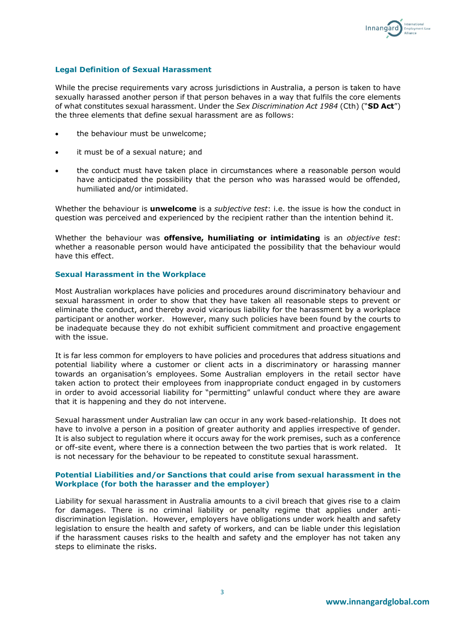

## **Legal Definition of Sexual Harassment**

While the precise requirements vary across jurisdictions in Australia, a person is taken to have sexually harassed another person if that person behaves in a way that fulfils the core elements of what constitutes sexual harassment. Under the *Sex Discrimination Act 1984* (Cth) ("**SD Act**") the three elements that define sexual harassment are as follows:

- the behaviour must be unwelcome;
- it must be of a sexual nature; and
- the conduct must have taken place in circumstances where a reasonable person would have anticipated the possibility that the person who was harassed would be offended, humiliated and/or intimidated.

Whether the behaviour is **unwelcome** is a *subjective test*: i.e. the issue is how the conduct in question was perceived and experienced by the recipient rather than the intention behind it.

Whether the behaviour was **offensive, humiliating or intimidating** is an *objective test*: whether a reasonable person would have anticipated the possibility that the behaviour would have this effect.

#### **Sexual Harassment in the Workplace**

Most Australian workplaces have policies and procedures around discriminatory behaviour and sexual harassment in order to show that they have taken all reasonable steps to prevent or eliminate the conduct, and thereby avoid vicarious liability for the harassment by a workplace participant or another worker. However, many such policies have been found by the courts to be inadequate because they do not exhibit sufficient commitment and proactive engagement with the issue.

It is far less common for employers to have policies and procedures that address situations and potential liability where a customer or client acts in a discriminatory or harassing manner towards an organisation's employees. Some Australian employers in the retail sector have taken action to protect their employees from inappropriate conduct engaged in by customers in order to avoid accessorial liability for "permitting" unlawful conduct where they are aware that it is happening and they do not intervene.

Sexual harassment under Australian law can occur in any work based-relationship. It does not have to involve a person in a position of greater authority and applies irrespective of gender. It is also subject to regulation where it occurs away for the work premises, such as a conference or off-site event, where there is a connection between the two parties that is work related. It is not necessary for the behaviour to be repeated to constitute sexual harassment.

## **Potential Liabilities and/or Sanctions that could arise from sexual harassment in the Workplace (for both the harasser and the employer)**

Liability for sexual harassment in Australia amounts to a civil breach that gives rise to a claim for damages. There is no criminal liability or penalty regime that applies under antidiscrimination legislation. However, employers have obligations under work health and safety legislation to ensure the health and safety of workers, and can be liable under this legislation if the harassment causes risks to the health and safety and the employer has not taken any steps to eliminate the risks.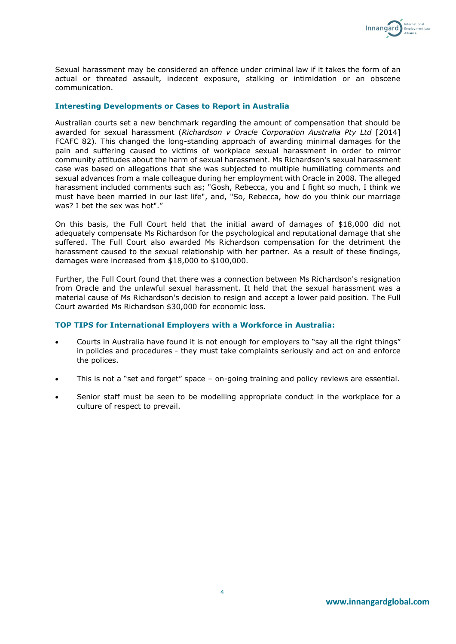

Sexual harassment may be considered an offence under criminal law if it takes the form of an actual or threated assault, indecent exposure, stalking or intimidation or an obscene communication.

## **Interesting Developments or Cases to Report in Australia**

Australian courts set a new benchmark regarding the amount of compensation that should be awarded for sexual harassment (*Richardson v Oracle Corporation Australia Pty Ltd* [2014] FCAFC 82). This changed the long-standing approach of awarding minimal damages for the pain and suffering caused to victims of workplace sexual harassment in order to mirror community attitudes about the harm of sexual harassment. Ms Richardson's sexual harassment case was based on allegations that she was subjected to multiple humiliating comments and sexual advances from a male colleague during her employment with Oracle in 2008. The alleged harassment included comments such as; "Gosh, Rebecca, you and I fight so much, I think we must have been married in our last life", and, "So, Rebecca, how do you think our marriage was? I bet the sex was hot"."

On this basis, the Full Court held that the initial award of damages of \$18,000 did not adequately compensate Ms Richardson for the psychological and reputational damage that she suffered. The Full Court also awarded Ms Richardson compensation for the detriment the harassment caused to the sexual relationship with her partner. As a result of these findings, damages were increased from \$18,000 to \$100,000.

Further, the Full Court found that there was a connection between Ms Richardson's resignation from Oracle and the unlawful sexual harassment. It held that the sexual harassment was a material cause of Ms Richardson's decision to resign and accept a lower paid position. The Full Court awarded Ms Richardson \$30,000 for economic loss.

## **TOP TIPS for International Employers with a Workforce in Australia:**

- Courts in Australia have found it is not enough for employers to "say all the right things" in policies and procedures - they must take complaints seriously and act on and enforce the polices.
- This is not a "set and forget" space on-going training and policy reviews are essential.
- Senior staff must be seen to be modelling appropriate conduct in the workplace for a culture of respect to prevail.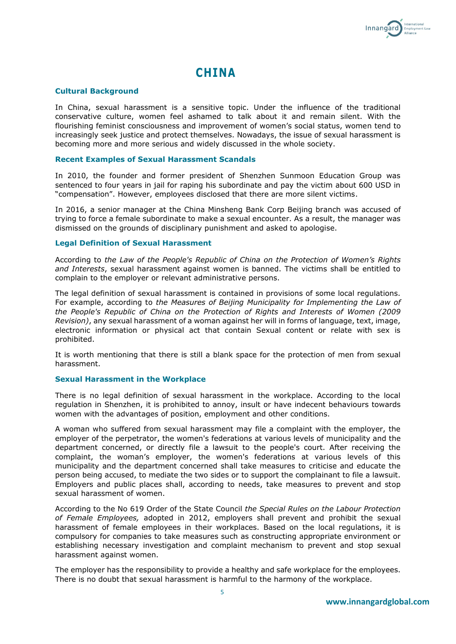

## **CHINA**

#### **Cultural Background**

In China, sexual harassment is a sensitive topic. Under the influence of the traditional conservative culture, women feel ashamed to talk about it and remain silent. With the flourishing feminist consciousness and improvement of women's social status, women tend to increasingly seek justice and protect themselves. Nowadays, the issue of sexual harassment is becoming more and more serious and widely discussed in the whole society.

#### **Recent Examples of Sexual Harassment Scandals**

In 2010, the founder and former president of Shenzhen Sunmoon Education Group was sentenced to four years in jail for raping his subordinate and pay the victim about 600 USD in "compensation". However, employees disclosed that there are more silent victims.

In 2016, a senior manager at the China Minsheng Bank Corp Beijing branch was accused of trying to force a female subordinate to make a sexual encounter. As a result, the manager was dismissed on the grounds of disciplinary punishment and asked to apologise.

#### **Legal Definition of Sexual Harassment**

According to *the Law of the People's Republic of China on the Protection of Women's Rights and Interests*, sexual harassment against women is banned. The victims shall be entitled to complain to the employer or relevant administrative persons.

The legal definition of sexual harassment is contained in provisions of some local regulations. For example, according to *the Measures of Beijing Municipality for Implementing the Law of the People's Republic of China on the Protection of Rights and Interests of Women (2009 Revision)*, any sexual harassment of a woman against her will in forms of language, text, image, electronic information or physical act that contain Sexual content or relate with sex is prohibited.

It is worth mentioning that there is still a blank space for the protection of men from sexual harassment.

#### **Sexual Harassment in the Workplace**

There is no legal definition of sexual harassment in the workplace. According to the local regulation in Shenzhen, it is prohibited to annoy, insult or have indecent behaviours towards women with the advantages of position, employment and other conditions.

A woman who suffered from sexual harassment may file a complaint with the employer, the employer of the perpetrator, the women's federations at various levels of municipality and the department concerned, or directly file a lawsuit to the people's court. After receiving the complaint, the woman's employer, the women's federations at various levels of this municipality and the department concerned shall take measures to criticise and educate the person being accused, to mediate the two sides or to support the complainant to file a lawsuit. Employers and public places shall, according to needs, take measures to prevent and stop sexual harassment of women.

According to the No 619 Order of the State Council *the Special Rules on the Labour Protection of Female Employees,* adopted in 2012, employers shall prevent and prohibit the sexual harassment of female employees in their workplaces. Based on the local regulations, it is compulsory for companies to take measures such as constructing appropriate environment or establishing necessary investigation and complaint mechanism to prevent and stop sexual harassment against women.

The employer has the responsibility to provide a healthy and safe workplace for the employees. There is no doubt that sexual harassment is harmful to the harmony of the workplace.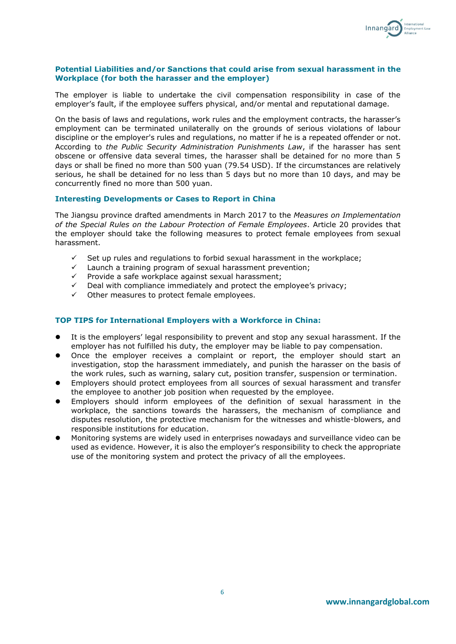

## **Potential Liabilities and/or Sanctions that could arise from sexual harassment in the Workplace (for both the harasser and the employer)**

The employer is liable to undertake the civil compensation responsibility in case of the employer's fault, if the employee suffers physical, and/or mental and reputational damage.

On the basis of laws and regulations, work rules and the employment contracts, the harasser's employment can be terminated unilaterally on the grounds of serious violations of labour discipline or the employer's rules and regulations, no matter if he is a repeated offender or not. According to *the Public Security Administration Punishments Law*, if the harasser has sent obscene or offensive data several times, the harasser shall be detained for no more than 5 days or shall be fined no more than 500 yuan (79.54 USD). If the circumstances are relatively serious, he shall be detained for no less than 5 days but no more than 10 days, and may be concurrently fined no more than 500 yuan.

## **Interesting Developments or Cases to Report in China**

The Jiangsu province drafted amendments in March 2017 to the *Measures on Implementation of the Special Rules on the Labour Protection of Female Employees*. Article 20 provides that the employer should take the following measures to protect female employees from sexual harassment.

- Set up rules and regulations to forbid sexual harassment in the workplace;
- $\checkmark$  Launch a training program of sexual harassment prevention;
- $\checkmark$  Provide a safe workplace against sexual harassment;
- Deal with compliance immediately and protect the employee's privacy;
- Other measures to protect female employees.

## **TOP TIPS for International Employers with a Workforce in China:**

- It is the employers' legal responsibility to prevent and stop any sexual harassment. If the employer has not fulfilled his duty, the employer may be liable to pay compensation.
- Once the employer receives a complaint or report, the employer should start an investigation, stop the harassment immediately, and punish the harasser on the basis of the work rules, such as warning, salary cut, position transfer, suspension or termination.
- Employers should protect employees from all sources of sexual harassment and transfer the employee to another job position when requested by the employee.
- Employers should inform employees of the definition of sexual harassment in the workplace, the sanctions towards the harassers, the mechanism of compliance and disputes resolution, the protective mechanism for the witnesses and whistle-blowers, and responsible institutions for education.
- Monitoring systems are widely used in enterprises nowadays and surveillance video can be used as evidence. However, it is also the employer's responsibility to check the appropriate use of the monitoring system and protect the privacy of all the employees.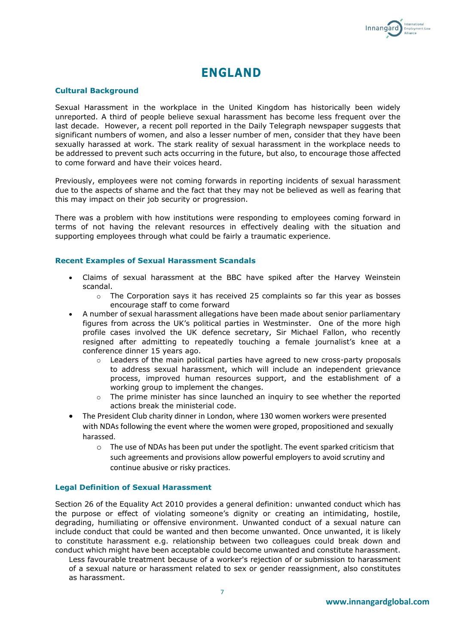

## **ENGLAND**

## **Cultural Background**

Sexual Harassment in the workplace in the United Kingdom has historically been widely unreported. A third of people believe sexual harassment has become less frequent over the last decade. However, a recent poll reported in the Daily Telegraph newspaper suggests that significant numbers of women, and also a lesser number of men, consider that they have been sexually harassed at work. The stark reality of sexual harassment in the workplace needs to be addressed to prevent such acts occurring in the future, but also, to encourage those affected to come forward and have their voices heard.

Previously, employees were not coming forwards in reporting incidents of sexual harassment due to the aspects of shame and the fact that they may not be believed as well as fearing that this may impact on their job security or progression.

There was a problem with how institutions were responding to employees coming forward in terms of not having the relevant resources in effectively dealing with the situation and supporting employees through what could be fairly a traumatic experience.

#### **Recent Examples of Sexual Harassment Scandals**

- Claims of sexual harassment at the BBC have spiked after the Harvey Weinstein scandal.
	- $\circ$  The Corporation says it has received 25 complaints so far this year as bosses encourage staff to come forward
- A number of sexual harassment allegations have been made about senior parliamentary figures from across the UK's political parties in Westminster. One of the more high profile cases involved the UK defence secretary, Sir Michael Fallon, who recently resigned after admitting to repeatedly touching a female journalist's knee at a conference dinner 15 years ago.
	- $\circ$  Leaders of the main political parties have agreed to new cross-party proposals to address sexual harassment, which will include an independent grievance process, improved human resources support, and the establishment of a working group to implement the changes.
	- $\circ$  The prime minister has since launched an inquiry to see whether the reported actions break the ministerial code.
- The President Club charity dinner in London, where 130 women workers were presented with NDAs following the event where the women were groped, propositioned and sexually harassed.
	- o The use of NDAs has been put under the spotlight. The event sparked criticism that such agreements and provisions allow powerful employers to avoid scrutiny and continue abusive or risky practices.

## **Legal Definition of Sexual Harassment**

Section 26 of the Equality Act 2010 provides a general definition: unwanted conduct which has the purpose or effect of violating someone's dignity or creating an intimidating, hostile, degrading, humiliating or offensive environment. Unwanted conduct of a sexual nature can include conduct that could be wanted and then become unwanted. Once unwanted, it is likely to constitute harassment e.g. relationship between two colleagues could break down and conduct which might have been acceptable could become unwanted and constitute harassment.

Less favourable treatment because of a worker's rejection of or submission to harassment of a sexual nature or harassment related to sex or gender reassignment, also constitutes as harassment.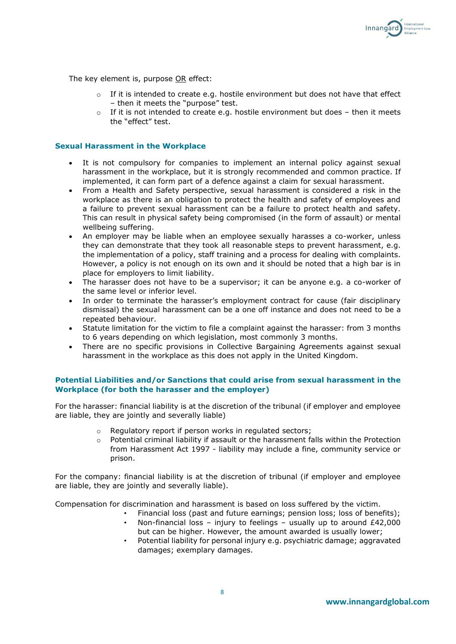

The key element is, purpose OR effect:

- If it is intended to create e.g. hostile environment but does not have that effect – then it meets the "purpose" test.
- o If it is not intended to create e.g. hostile environment but does then it meets the "effect" test.

#### **Sexual Harassment in the Workplace**

- It is not compulsory for companies to implement an internal policy against sexual harassment in the workplace, but it is strongly recommended and common practice. If implemented, it can form part of a defence against a claim for sexual harassment.
- From a Health and Safety perspective, sexual harassment is considered a risk in the workplace as there is an obligation to protect the health and safety of employees and a failure to prevent sexual harassment can be a failure to protect health and safety. This can result in physical safety being compromised (in the form of assault) or mental wellbeing suffering.
- An employer may be liable when an employee sexually harasses a co-worker, unless they can demonstrate that they took all reasonable steps to prevent harassment, e.g. the implementation of a policy, staff training and a process for dealing with complaints. However, a policy is not enough on its own and it should be noted that a high bar is in place for employers to limit liability.
- The harasser does not have to be a supervisor; it can be anyone e.g. a co-worker of the same level or inferior level.
- In order to terminate the harasser's employment contract for cause (fair disciplinary dismissal) the sexual harassment can be a one off instance and does not need to be a repeated behaviour.
- Statute limitation for the victim to file a complaint against the harasser: from 3 months to 6 years depending on which legislation, most commonly 3 months.
- There are no specific provisions in Collective Bargaining Agreements against sexual harassment in the workplace as this does not apply in the United Kingdom.

## **Potential Liabilities and/or Sanctions that could arise from sexual harassment in the Workplace (for both the harasser and the employer)**

For the harasser: financial liability is at the discretion of the tribunal (if employer and employee are liable, they are jointly and severally liable)

- o Regulatory report if person works in regulated sectors;
- o Potential criminal liability if assault or the harassment falls within the Protection from Harassment Act 1997 - liability may include a fine, community service or prison.

For the company: financial liability is at the discretion of tribunal (if employer and employee are liable, they are jointly and severally liable).

Compensation for discrimination and harassment is based on loss suffered by the victim.

- Financial loss (past and future earnings; pension loss; loss of benefits); • Non-financial loss – injury to feelings – usually up to around £42,000
- but can be higher. However, the amount awarded is usually lower;
- Potential liability for personal injury e.g. psychiatric damage; aggravated damages; exemplary damages.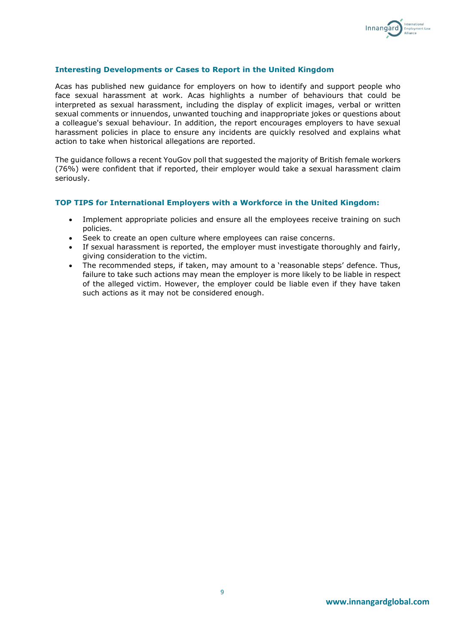

## **Interesting Developments or Cases to Report in the United Kingdom**

Acas has published new guidance for employers on how to identify and support people who face sexual harassment at work. Acas highlights a number of behaviours that could be interpreted as sexual harassment, including the display of explicit images, verbal or written sexual comments or innuendos, unwanted touching and inappropriate jokes or questions about a colleague's sexual behaviour. In addition, the report encourages employers to have sexual harassment policies in place to ensure any incidents are quickly resolved and explains what action to take when historical allegations are reported.

The guidance follows a recent YouGov poll that suggested the majority of British female workers (76%) were confident that if reported, their employer would take a sexual harassment claim seriously.

## **TOP TIPS for International Employers with a Workforce in the United Kingdom:**

- Implement appropriate policies and ensure all the employees receive training on such policies.
- Seek to create an open culture where employees can raise concerns.
- If sexual harassment is reported, the employer must investigate thoroughly and fairly, giving consideration to the victim.
- The recommended steps, if taken, may amount to a 'reasonable steps' defence. Thus, failure to take such actions may mean the employer is more likely to be liable in respect of the alleged victim. However, the employer could be liable even if they have taken such actions as it may not be considered enough.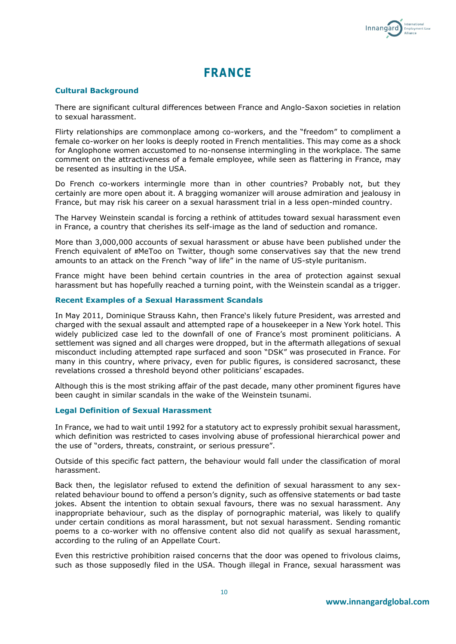

## **FRANCE**

## **Cultural Background**

There are significant cultural differences between France and Anglo-Saxon societies in relation to sexual harassment.

Flirty relationships are commonplace among co-workers, and the "freedom" to compliment a female co-worker on her looks is deeply rooted in French mentalities. This may come as a shock for Anglophone women accustomed to no-nonsense intermingling in the workplace. The same comment on the attractiveness of a female employee, while seen as flattering in France, may be resented as insulting in the USA.

Do French co-workers intermingle more than in other countries? Probably not, but they certainly are more open about it. A bragging womanizer will arouse admiration and jealousy in France, but may risk his career on a sexual harassment trial in a less open-minded country.

The Harvey Weinstein scandal is forcing a rethink of attitudes toward sexual harassment even in France, a country that cherishes its self-image as the land of seduction and romance.

More than 3,000,000 accounts of sexual harassment or abuse have been published under the French equivalent of #MeToo on Twitter, though some conservatives say that the new trend amounts to an attack on the French "way of life" in the name of US-style puritanism.

France might have been behind certain countries in the area of protection against sexual harassment but has hopefully reached a turning point, with the Weinstein scandal as a trigger.

## **Recent Examples of a Sexual Harassment Scandals**

In May 2011, Dominique Strauss Kahn, then France's likely future President, was arrested and charged with the sexual assault and attempted rape of a housekeeper in a New York hotel. This widely publicized case led to the downfall of one of France's most prominent politicians. A settlement was signed and all charges were dropped, but in the aftermath allegations of sexual misconduct including attempted rape surfaced and soon "DSK" was prosecuted in France. For many in this country, where privacy, even for public figures, is considered sacrosanct, these revelations crossed a threshold beyond other politicians' escapades.

Although this is the most striking affair of the past decade, many other prominent figures have been caught in similar scandals in the wake of the Weinstein tsunami.

## **Legal Definition of Sexual Harassment**

In France, we had to wait until 1992 for a statutory act to expressly prohibit sexual harassment, which definition was restricted to cases involving abuse of professional hierarchical power and the use of "orders, threats, constraint, or serious pressure".

Outside of this specific fact pattern, the behaviour would fall under the classification of moral harassment.

Back then, the legislator refused to extend the definition of sexual harassment to any sexrelated behaviour bound to offend a person's dignity, such as offensive statements or bad taste jokes. Absent the intention to obtain sexual favours, there was no sexual harassment. Any inappropriate behaviour, such as the display of pornographic material, was likely to qualify under certain conditions as moral harassment, but not sexual harassment. Sending romantic poems to a co-worker with no offensive content also did not qualify as sexual harassment, according to the ruling of an Appellate Court.

Even this restrictive prohibition raised concerns that the door was opened to frivolous claims, such as those supposedly filed in the USA. Though illegal in France, sexual harassment was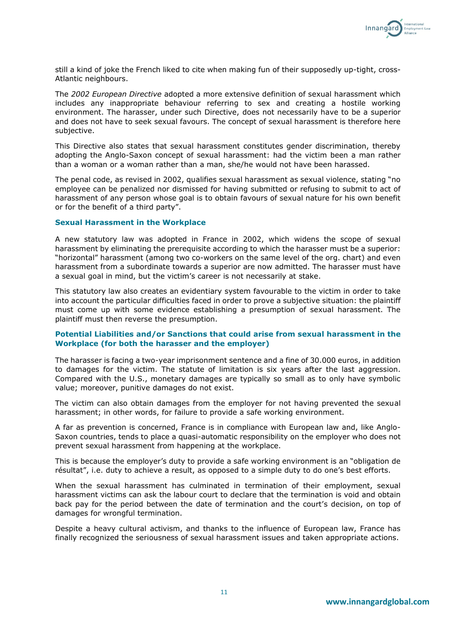

still a kind of joke the French liked to cite when making fun of their supposedly up-tight, cross-Atlantic neighbours.

The *2002 European Directive* adopted a more extensive definition of sexual harassment which includes any inappropriate behaviour referring to sex and creating a hostile working environment. The harasser, under such Directive, does not necessarily have to be a superior and does not have to seek sexual favours. The concept of sexual harassment is therefore here subjective.

This Directive also states that sexual harassment constitutes gender discrimination, thereby adopting the Anglo-Saxon concept of sexual harassment: had the victim been a man rather than a woman or a woman rather than a man, she/he would not have been harassed.

The penal code, as revised in 2002, qualifies sexual harassment as sexual violence, stating "no employee can be penalized nor dismissed for having submitted or refusing to submit to act of harassment of any person whose goal is to obtain favours of sexual nature for his own benefit or for the benefit of a third party".

## **Sexual Harassment in the Workplace**

A new statutory law was adopted in France in 2002, which widens the scope of sexual harassment by eliminating the prerequisite according to which the harasser must be a superior: "horizontal" harassment (among two co-workers on the same level of the org. chart) and even harassment from a subordinate towards a superior are now admitted. The harasser must have a sexual goal in mind, but the victim's career is not necessarily at stake.

This statutory law also creates an evidentiary system favourable to the victim in order to take into account the particular difficulties faced in order to prove a subjective situation: the plaintiff must come up with some evidence establishing a presumption of sexual harassment. The plaintiff must then reverse the presumption.

## **Potential Liabilities and/or Sanctions that could arise from sexual harassment in the Workplace (for both the harasser and the employer)**

The harasser is facing a two-year imprisonment sentence and a fine of 30.000 euros, in addition to damages for the victim. The statute of limitation is six years after the last aggression. Compared with the U.S., monetary damages are typically so small as to only have symbolic value; moreover, punitive damages do not exist.

The victim can also obtain damages from the employer for not having prevented the sexual harassment; in other words, for failure to provide a safe working environment.

A far as prevention is concerned, France is in compliance with European law and, like Anglo-Saxon countries, tends to place a quasi-automatic responsibility on the employer who does not prevent sexual harassment from happening at the workplace.

This is because the employer's duty to provide a safe working environment is an "obligation de résultat", i.e. duty to achieve a result, as opposed to a simple duty to do one's best efforts.

When the sexual harassment has culminated in termination of their employment, sexual harassment victims can ask the labour court to declare that the termination is void and obtain back pay for the period between the date of termination and the court's decision, on top of damages for wrongful termination.

Despite a heavy cultural activism, and thanks to the influence of European law, France has finally recognized the seriousness of sexual harassment issues and taken appropriate actions.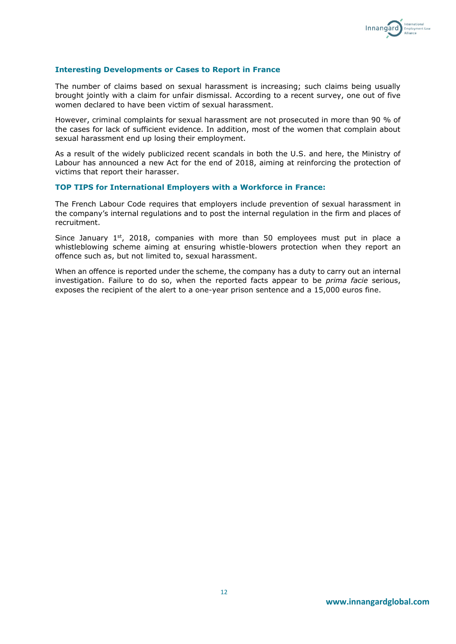

## **Interesting Developments or Cases to Report in France**

The number of claims based on sexual harassment is increasing; such claims being usually brought jointly with a claim for unfair dismissal. According to a recent survey, one out of five women declared to have been victim of sexual harassment.

However, criminal complaints for sexual harassment are not prosecuted in more than 90 % of the cases for lack of sufficient evidence. In addition, most of the women that complain about sexual harassment end up losing their employment.

As a result of the widely publicized recent scandals in both the U.S. and here, the Ministry of Labour has announced a new Act for the end of 2018, aiming at reinforcing the protection of victims that report their harasser.

## **TOP TIPS for International Employers with a Workforce in France:**

The French Labour Code requires that employers include prevention of sexual harassment in the company's internal regulations and to post the internal regulation in the firm and places of recruitment.

Since January  $1<sup>st</sup>$ , 2018, companies with more than 50 employees must put in place a whistleblowing scheme aiming at ensuring whistle-blowers protection when they report an offence such as, but not limited to, sexual harassment.

When an offence is reported under the scheme, the company has a duty to carry out an internal investigation. Failure to do so, when the reported facts appear to be *prima facie* serious, exposes the recipient of the alert to a one-year prison sentence and a 15,000 euros fine.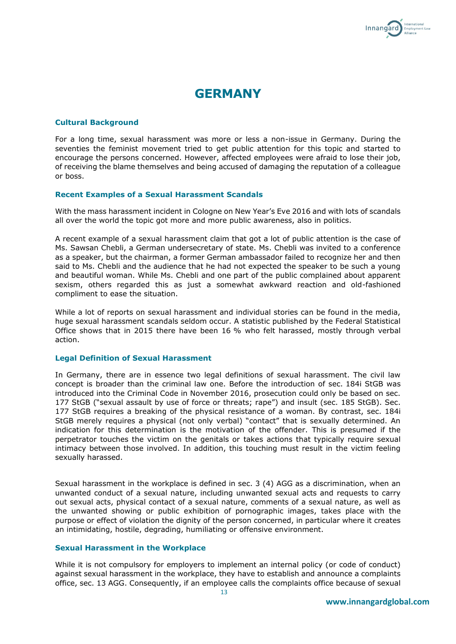

## **GERMANY**

#### **Cultural Background**

For a long time, sexual harassment was more or less a non-issue in Germany. During the seventies the feminist movement tried to get public attention for this topic and started to encourage the persons concerned. However, affected employees were afraid to lose their job, of receiving the blame themselves and being accused of damaging the reputation of a colleague or boss.

#### **Recent Examples of a Sexual Harassment Scandals**

With the mass harassment incident in Cologne on New Year's Eve 2016 and with lots of scandals all over the world the topic got more and more public awareness, also in politics.

A recent example of a sexual harassment claim that got a lot of public attention is the case of Ms. Sawsan Chebli, a German undersecretary of state. Ms. Chebli was invited to a conference as a speaker, but the chairman, a former German ambassador failed to recognize her and then said to Ms. Chebli and the audience that he had not expected the speaker to be such a young and beautiful woman. While Ms. Chebli and one part of the public complained about apparent sexism, others regarded this as just a somewhat awkward reaction and old-fashioned compliment to ease the situation.

While a lot of reports on sexual harassment and individual stories can be found in the media, huge sexual harassment scandals seldom occur. A statistic published by the Federal Statistical Office shows that in 2015 there have been 16 % who felt harassed, mostly through verbal action.

## **Legal Definition of Sexual Harassment**

In Germany, there are in essence two legal definitions of sexual harassment. The civil law concept is broader than the criminal law one. Before the introduction of sec. 184i StGB was introduced into the Criminal Code in November 2016, prosecution could only be based on sec. 177 StGB ("sexual assault by use of force or threats; rape") and insult (sec. 185 StGB). Sec. 177 StGB requires a breaking of the physical resistance of a woman. By contrast, sec. 184i StGB merely requires a physical (not only verbal) "contact" that is sexually determined. An indication for this determination is the motivation of the offender. This is presumed if the perpetrator touches the victim on the genitals or takes actions that typically require sexual intimacy between those involved. In addition, this touching must result in the victim feeling sexually harassed.

Sexual harassment in the workplace is defined in sec. 3 (4) AGG as a discrimination, when an unwanted conduct of a sexual nature, including unwanted sexual acts and requests to carry out sexual acts, physical contact of a sexual nature, comments of a sexual nature, as well as the unwanted showing or public exhibition of pornographic images, takes place with the purpose or effect of violation the dignity of the person concerned, in particular where it creates an intimidating, hostile, degrading, humiliating or offensive environment.

## **Sexual Harassment in the Workplace**

While it is not compulsory for employers to implement an internal policy (or code of conduct) against sexual harassment in the workplace, they have to establish and announce a complaints office, sec. 13 AGG. Consequently, if an employee calls the complaints office because of sexual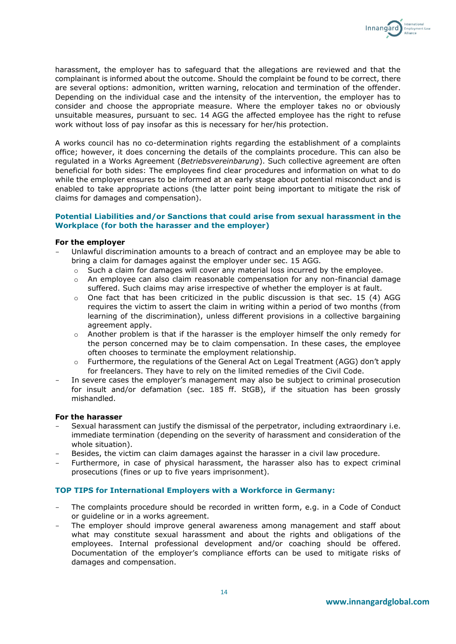

harassment, the employer has to safeguard that the allegations are reviewed and that the complainant is informed about the outcome. Should the complaint be found to be correct, there are several options: admonition, written warning, relocation and termination of the offender. Depending on the individual case and the intensity of the intervention, the employer has to consider and choose the appropriate measure. Where the employer takes no or obviously unsuitable measures, pursuant to sec. 14 AGG the affected employee has the right to refuse work without loss of pay insofar as this is necessary for her/his protection.

A works council has no co-determination rights regarding the establishment of a complaints office; however, it does concerning the details of the complaints procedure. This can also be regulated in a Works Agreement (*Betriebsvereinbarung*). Such collective agreement are often beneficial for both sides: The employees find clear procedures and information on what to do while the employer ensures to be informed at an early stage about potential misconduct and is enabled to take appropriate actions (the latter point being important to mitigate the risk of claims for damages and compensation).

## **Potential Liabilities and/or Sanctions that could arise from sexual harassment in the Workplace (for both the harasser and the employer)**

## **For the employer**

- Unlawful discrimination amounts to a breach of contract and an employee may be able to bring a claim for damages against the employer under sec. 15 AGG.
	- $\circ$  Such a claim for damages will cover any material loss incurred by the employee.
	- $\circ$  An employee can also claim reasonable compensation for any non-financial damage suffered. Such claims may arise irrespective of whether the employer is at fault.
	- $\circ$  One fact that has been criticized in the public discussion is that sec. 15 (4) AGG requires the victim to assert the claim in writing within a period of two months (from learning of the discrimination), unless different provisions in a collective bargaining agreement apply.
	- $\circ$  Another problem is that if the harasser is the employer himself the only remedy for the person concerned may be to claim compensation. In these cases, the employee often chooses to terminate the employment relationship.
	- o Furthermore, the regulations of the General Act on Legal Treatment (AGG) don't apply for freelancers. They have to rely on the limited remedies of the Civil Code.
- In severe cases the employer's management may also be subject to criminal prosecution for insult and/or defamation (sec. 185 ff. StGB), if the situation has been grossly mishandled.

## **For the harasser**

- Sexual harassment can justify the dismissal of the perpetrator, including extraordinary i.e. immediate termination (depending on the severity of harassment and consideration of the whole situation).
- Besides, the victim can claim damages against the harasser in a civil law procedure.
- Furthermore, in case of physical harassment, the harasser also has to expect criminal prosecutions (fines or up to five years imprisonment).

## **TOP TIPS for International Employers with a Workforce in Germany:**

- The complaints procedure should be recorded in written form, e.g. in a Code of Conduct or guideline or in a works agreement.
- The employer should improve general awareness among management and staff about what may constitute sexual harassment and about the rights and obligations of the employees. Internal professional development and/or coaching should be offered. Documentation of the employer's compliance efforts can be used to mitigate risks of damages and compensation.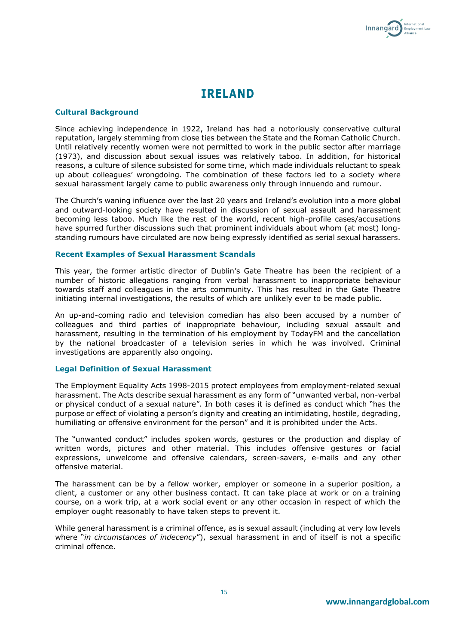

## **IRELAND**

## **Cultural Background**

Since achieving independence in 1922, Ireland has had a notoriously conservative cultural reputation, largely stemming from close ties between the State and the Roman Catholic Church. Until relatively recently women were not permitted to work in the public sector after marriage (1973), and discussion about sexual issues was relatively taboo. In addition, for historical reasons, a culture of silence subsisted for some time, which made individuals reluctant to speak up about colleagues' wrongdoing. The combination of these factors led to a society where sexual harassment largely came to public awareness only through innuendo and rumour.

The Church's waning influence over the last 20 years and Ireland's evolution into a more global and outward-looking society have resulted in discussion of sexual assault and harassment becoming less taboo. Much like the rest of the world, recent high-profile cases/accusations have spurred further discussions such that prominent individuals about whom (at most) longstanding rumours have circulated are now being expressly identified as serial sexual harassers.

#### **Recent Examples of Sexual Harassment Scandals**

This year, the former artistic director of Dublin's Gate Theatre has been the recipient of a number of historic allegations ranging from verbal harassment to inappropriate behaviour towards staff and colleagues in the arts community. This has resulted in the Gate Theatre initiating internal investigations, the results of which are unlikely ever to be made public.

An up-and-coming radio and television comedian has also been accused by a number of colleagues and third parties of inappropriate behaviour, including sexual assault and harassment, resulting in the termination of his employment by TodayFM and the cancellation by the national broadcaster of a television series in which he was involved. Criminal investigations are apparently also ongoing.

## **Legal Definition of Sexual Harassment**

The Employment Equality Acts 1998-2015 protect employees from employment-related sexual harassment. The Acts describe sexual harassment as any form of "unwanted verbal, non-verbal or physical conduct of a sexual nature". In both cases it is defined as conduct which "has the purpose or effect of violating a person's dignity and creating an intimidating, hostile, degrading, humiliating or offensive environment for the person" and it is prohibited under the Acts.

The "unwanted conduct" includes spoken words, gestures or the production and display of written words, pictures and other material. This includes offensive gestures or facial expressions, unwelcome and offensive calendars, screen-savers, e-mails and any other offensive material.

The harassment can be by a fellow worker, employer or someone in a superior position, a client, a customer or any other business contact. It can take place at work or on a training course, on a work trip, at a work social event or any other occasion in respect of which the employer ought reasonably to have taken steps to prevent it.

While general harassment is a criminal offence, as is sexual assault (including at very low levels where "*in circumstances of indecency*"), sexual harassment in and of itself is not a specific criminal offence.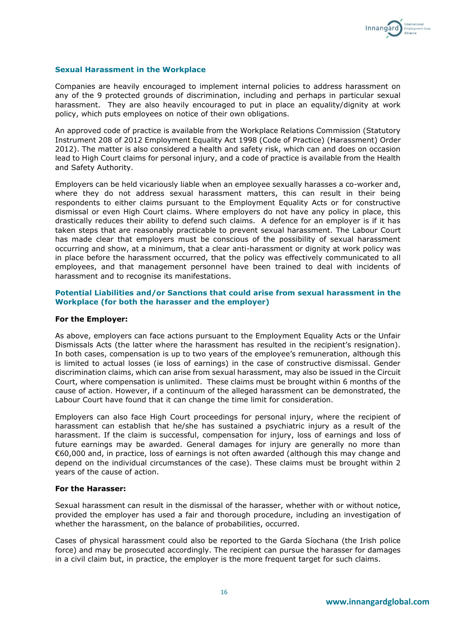

## **Sexual Harassment in the Workplace**

Companies are heavily encouraged to implement internal policies to address harassment on any of the 9 protected grounds of discrimination, including and perhaps in particular sexual harassment. They are also heavily encouraged to put in place an equality/dignity at work policy, which puts employees on notice of their own obligations.

An approved code of practice is available from the Workplace Relations Commission (Statutory Instrument 208 of 2012 Employment Equality Act 1998 (Code of Practice) (Harassment) Order 2012). The matter is also considered a health and safety risk, which can and does on occasion lead to High Court claims for personal injury, and a code of practice is available from the Health and Safety Authority.

Employers can be held vicariously liable when an employee sexually harasses a co-worker and, where they do not address sexual harassment matters, this can result in their being respondents to either claims pursuant to the Employment Equality Acts or for constructive dismissal or even High Court claims. Where employers do not have any policy in place, this drastically reduces their ability to defend such claims. A defence for an employer is if it has taken steps that are reasonably practicable to prevent sexual harassment. The Labour Court has made clear that employers must be conscious of the possibility of sexual harassment occurring and show, at a minimum, that a clear anti-harassment or dignity at work policy was in place before the harassment occurred, that the policy was effectively communicated to all employees, and that management personnel have been trained to deal with incidents of harassment and to recognise its manifestations.

## **Potential Liabilities and/or Sanctions that could arise from sexual harassment in the Workplace (for both the harasser and the employer)**

## **For the Employer:**

As above, employers can face actions pursuant to the Employment Equality Acts or the Unfair Dismissals Acts (the latter where the harassment has resulted in the recipient's resignation). In both cases, compensation is up to two years of the employee's remuneration, although this is limited to actual losses (ie loss of earnings) in the case of constructive dismissal. Gender discrimination claims, which can arise from sexual harassment, may also be issued in the Circuit Court, where compensation is unlimited. These claims must be brought within 6 months of the cause of action. However, if a continuum of the alleged harassment can be demonstrated, the Labour Court have found that it can change the time limit for consideration.

Employers can also face High Court proceedings for personal injury, where the recipient of harassment can establish that he/she has sustained a psychiatric injury as a result of the harassment. If the claim is successful, compensation for injury, loss of earnings and loss of future earnings may be awarded. General damages for injury are generally no more than €60,000 and, in practice, loss of earnings is not often awarded (although this may change and depend on the individual circumstances of the case). These claims must be brought within 2 years of the cause of action.

#### **For the Harasser:**

Sexual harassment can result in the dismissal of the harasser, whether with or without notice, provided the employer has used a fair and thorough procedure, including an investigation of whether the harassment, on the balance of probabilities, occurred.

Cases of physical harassment could also be reported to the Garda Síochana (the Irish police force) and may be prosecuted accordingly. The recipient can pursue the harasser for damages in a civil claim but, in practice, the employer is the more frequent target for such claims.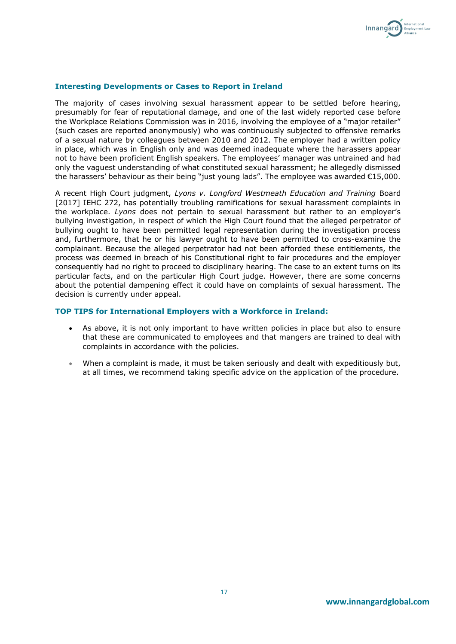

## **Interesting Developments or Cases to Report in Ireland**

The majority of cases involving sexual harassment appear to be settled before hearing, presumably for fear of reputational damage, and one of the last widely reported case before the Workplace Relations Commission was in 2016, involving the employee of a "major retailer" (such cases are reported anonymously) who was continuously subjected to offensive remarks of a sexual nature by colleagues between 2010 and 2012. The employer had a written policy in place, which was in English only and was deemed inadequate where the harassers appear not to have been proficient English speakers. The employees' manager was untrained and had only the vaguest understanding of what constituted sexual harassment; he allegedly dismissed the harassers' behaviour as their being "just young lads". The employee was awarded €15,000.

A recent High Court judgment, *Lyons v. Longford Westmeath Education and Training* Board [2017] IEHC 272, has potentially troubling ramifications for sexual harassment complaints in the workplace. *Lyons* does not pertain to sexual harassment but rather to an employer's bullying investigation, in respect of which the High Court found that the alleged perpetrator of bullying ought to have been permitted legal representation during the investigation process and, furthermore, that he or his lawyer ought to have been permitted to cross-examine the complainant. Because the alleged perpetrator had not been afforded these entitlements, the process was deemed in breach of his Constitutional right to fair procedures and the employer consequently had no right to proceed to disciplinary hearing. The case to an extent turns on its particular facts, and on the particular High Court judge. However, there are some concerns about the potential dampening effect it could have on complaints of sexual harassment. The decision is currently under appeal.

#### **TOP TIPS for International Employers with a Workforce in Ireland:**

- As above, it is not only important to have written policies in place but also to ensure that these are communicated to employees and that mangers are trained to deal with complaints in accordance with the policies.
- When a complaint is made, it must be taken seriously and dealt with expeditiously but, at all times, we recommend taking specific advice on the application of the procedure.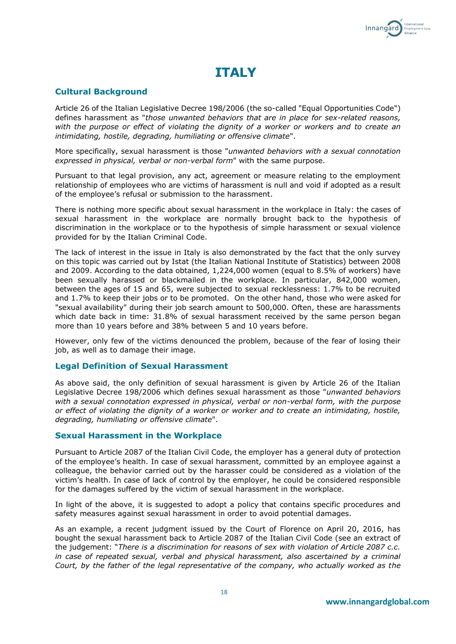

## **ITALY**

## **Cultural Background**

Article 26 of the Italian Legislative Decree 198/2006 (the so-called "Equal Opportunities Code") defines harassment as "*those unwanted behaviors that are in place for sex-related reasons, with the purpose or effect of violating the dignity of a worker or workers and to create an intimidating, hostile, degrading, humiliating or offensive climate*".

More specifically, sexual harassment is those "*unwanted behaviors with a sexual connotation expressed in physical, verbal or non-verbal form*" with the same purpose.

Pursuant to that legal provision, any act, agreement or measure relating to the employment relationship of employees who are victims of harassment is null and void if adopted as a result of the employee's refusal or submission to the harassment.

There is nothing more specific about sexual harassment in the workplace in Italy: the cases of sexual harassment in the workplace are normally brought back to the hypothesis of discrimination in the workplace or to the hypothesis of simple harassment or sexual violence provided for by the Italian Criminal Code.

The lack of interest in the issue in Italy is also demonstrated by the fact that the only survey on this topic was carried out by Istat (the Italian National Institute of Statistics) between 2008 and 2009. According to the data obtained, 1,224,000 women (equal to 8.5% of workers) have been sexually harassed or blackmailed in the workplace. In particular, 842,000 women, between the ages of 15 and 65, were subjected to sexual recklessness: 1.7% to be recruited and 1.7% to keep their jobs or to be promoted. On the other hand, those who were asked for "sexual availability" during their job search amount to 500,000. Often, these are harassments which date back in time: 31.8% of sexual harassment received by the same person began more than 10 years before and 38% between 5 and 10 years before.

However, only few of the victims denounced the problem, because of the fear of losing their job, as well as to damage their image.

## **Legal Definition of Sexual Harassment**

As above said, the only definition of sexual harassment is given by Article 26 of the Italian Legislative Decree 198/2006 which defines sexual harassment as those "*unwanted behaviors with a sexual connotation expressed in physical, verbal or non-verbal form, with the purpose or effect of violating the dignity of a worker or worker and to create an intimidating, hostile, degrading, humiliating or offensive climate*".

## **Sexual Harassment in the Workplace**

Pursuant to Article 2087 of the Italian Civil Code, the employer has a general duty of protection of the employee's health. In case of sexual harassment, committed by an employee against a colleague, the behavior carried out by the harasser could be considered as a violation of the victim's health. In case of lack of control by the employer, he could be considered responsible for the damages suffered by the victim of sexual harassment in the workplace.

In light of the above, it is suggested to adopt a policy that contains specific procedures and safety measures against sexual harassment in order to avoid potential damages.

As an example, a recent judgment issued by the Court of Florence on April 20, 2016, has bought the sexual harassment back to Article 2087 of the Italian Civil Code (see an extract of the judgement: "*There is a discrimination for reasons of sex with violation of Article 2087 c.c. in case of repeated sexual, verbal and physical harassment, also ascertained by a criminal Court, by the father of the legal representative of the company, who actually worked as the*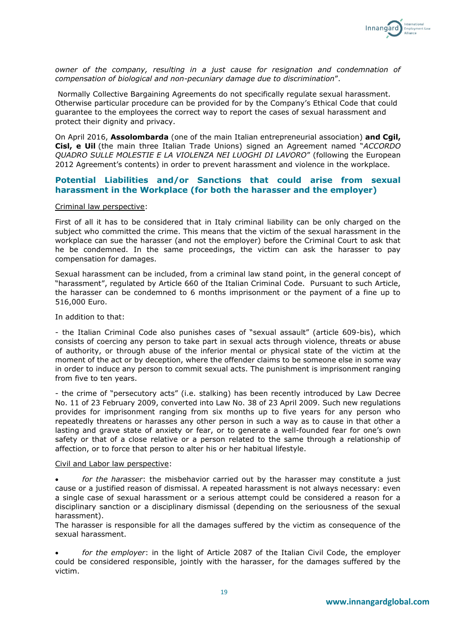

*owner of the company, resulting in a just cause for resignation and condemnation of compensation of biological and non-pecuniary damage due to discrimination*".

Normally Collective Bargaining Agreements do not specifically regulate sexual harassment. Otherwise particular procedure can be provided for by the Company's Ethical Code that could guarantee to the employees the correct way to report the cases of sexual harassment and protect their dignity and privacy.

On April 2016, **Assolombarda** (one of the main Italian entrepreneurial association) **and Cgil, Cisl, e Uil** (the main three Italian Trade Unions) signed an Agreement named "*ACCORDO QUADRO SULLE MOLESTIE E LA VIOLENZA NEI LUOGHI DI LAVORO*" (following the European 2012 Agreement's contents) in order to prevent harassment and violence in the workplace.

## **Potential Liabilities and/or Sanctions that could arise from sexual harassment in the Workplace (for both the harasser and the employer)**

## Criminal law perspective:

First of all it has to be considered that in Italy criminal liability can be only charged on the subject who committed the crime. This means that the victim of the sexual harassment in the workplace can sue the harasser (and not the employer) before the Criminal Court to ask that he be condemned. In the same proceedings, the victim can ask the harasser to pay compensation for damages.

Sexual harassment can be included, from a criminal law stand point, in the general concept of "harassment", regulated by Article 660 of the Italian Criminal Code. Pursuant to such Article, the harasser can be condemned to 6 months imprisonment or the payment of a fine up to 516,000 Euro.

In addition to that:

- the Italian Criminal Code also punishes cases of "sexual assault" (article 609-bis), which consists of coercing any person to take part in sexual acts through violence, threats or abuse of authority, or through abuse of the inferior mental or physical state of the victim at the moment of the act or by deception, where the offender claims to be someone else in some way in order to induce any person to commit sexual acts. The punishment is imprisonment ranging from five to ten years.

- the crime of "persecutory acts" (i.e. stalking) has been recently introduced by Law Decree No. 11 of 23 February 2009, converted into Law No. 38 of 23 April 2009. Such new regulations provides for imprisonment ranging from six months up to five years for any person who repeatedly threatens or harasses any other person in such a way as to cause in that other a lasting and grave state of anxiety or fear, or to generate a well-founded fear for one's own safety or that of a close relative or a person related to the same through a relationship of affection, or to force that person to alter his or her habitual lifestyle.

#### Civil and Labor law perspective:

• *for the harasser*: the misbehavior carried out by the harasser may constitute a just cause or a justified reason of dismissal. A repeated harassment is not always necessary: even a single case of sexual harassment or a serious attempt could be considered a reason for a disciplinary sanction or a disciplinary dismissal (depending on the seriousness of the sexual harassment).

The harasser is responsible for all the damages suffered by the victim as consequence of the sexual harassment.

• *for the employer*: in the light of Article 2087 of the Italian Civil Code, the employer could be considered responsible, jointly with the harasser, for the damages suffered by the victim.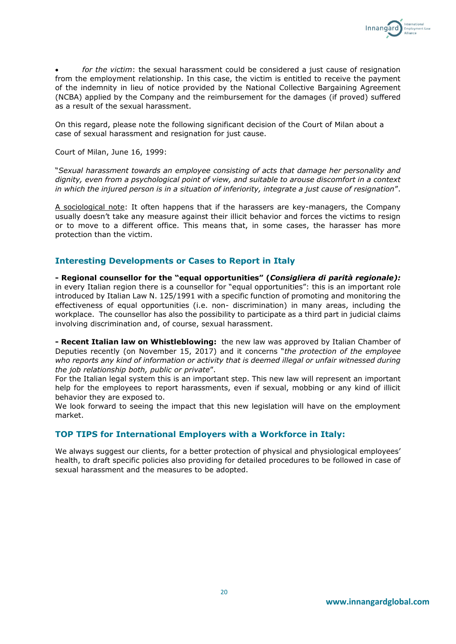

• *for the victim*: the sexual harassment could be considered a just cause of resignation from the employment relationship. In this case, the victim is entitled to receive the payment of the indemnity in lieu of notice provided by the National Collective Bargaining Agreement (NCBA) applied by the Company and the reimbursement for the damages (if proved) suffered as a result of the sexual harassment.

On this regard, please note the following significant decision of the Court of Milan about a case of sexual harassment and resignation for just cause.

Court of Milan, June 16, 1999:

"*Sexual harassment towards an employee consisting of acts that damage her personality and dignity, even from a psychological point of view, and suitable to arouse discomfort in a context in which the injured person is in a situation of inferiority, integrate a just cause of resignation*".

A sociological note: It often happens that if the harassers are key-managers, the Company usually doesn't take any measure against their illicit behavior and forces the victims to resign or to move to a different office. This means that, in some cases, the harasser has more protection than the victim.

## **Interesting Developments or Cases to Report in Italy**

**- Regional counsellor for the "equal opportunities" (***Consigliera di parità regionale):*  in every Italian region there is a counsellor for "equal opportunities": this is an important role introduced by Italian Law N. 125/1991 with a specific function of promoting and monitoring the effectiveness of equal opportunities (i.e. non- discrimination) in many areas, including the workplace. The counsellor has also the possibility to participate as a third part in judicial claims involving discrimination and, of course, sexual harassment.

**- Recent Italian law on Whistleblowing:** the new law was approved by Italian Chamber of Deputies recently (on November 15, 2017) and it concerns "*the protection of the employee who reports any kind of information or activity that is deemed illegal or unfair witnessed during the job relationship both, public or private*".

For the Italian legal system this is an important step. This new law will represent an important help for the employees to report harassments, even if sexual, mobbing or any kind of illicit behavior they are exposed to.

We look forward to seeing the impact that this new legislation will have on the employment market.

## **TOP TIPS for International Employers with a Workforce in Italy:**

We always suggest our clients, for a better protection of physical and physiological employees' health, to draft specific policies also providing for detailed procedures to be followed in case of sexual harassment and the measures to be adopted.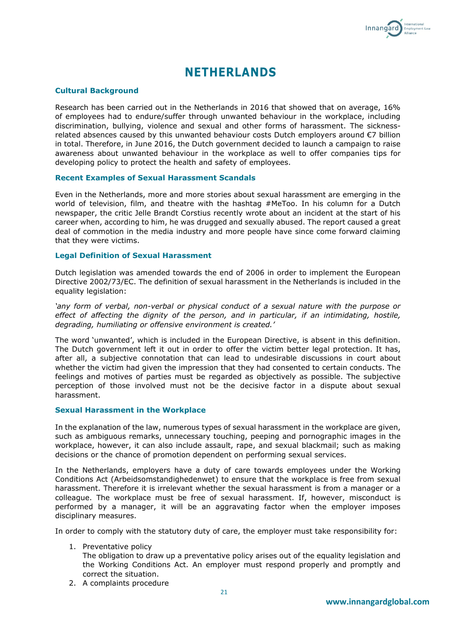

## **NETHERLANDS**

## **Cultural Background**

Research has been carried out in the Netherlands in 2016 that showed that on average, 16% of employees had to endure/suffer through unwanted behaviour in the workplace, including discrimination, bullying, violence and sexual and other forms of harassment. The sicknessrelated absences caused by this unwanted behaviour costs Dutch employers around €7 billion in total. Therefore, in June 2016, the Dutch government decided to launch a campaign to raise awareness about unwanted behaviour in the workplace as well to offer companies tips for developing policy to protect the health and safety of employees.

#### **Recent Examples of Sexual Harassment Scandals**

Even in the Netherlands, more and more stories about sexual harassment are emerging in the world of television, film, and theatre with the hashtag #MeToo. In his column for a Dutch newspaper, the critic Jelle Brandt Corstius recently wrote about an incident at the start of his career when, according to him, he was drugged and sexually abused. The report caused a great deal of commotion in the media industry and more people have since come forward claiming that they were victims.

## **Legal Definition of Sexual Harassment**

Dutch legislation was amended towards the end of 2006 in order to implement the European Directive 2002/73/EC. The definition of sexual harassment in the Netherlands is included in the equality legislation:

*'any form of verbal, non-verbal or physical conduct of a sexual nature with the purpose or effect of affecting the dignity of the person, and in particular, if an intimidating, hostile, degrading, humiliating or offensive environment is created.'*

The word 'unwanted', which is included in the European Directive, is absent in this definition. The Dutch government left it out in order to offer the victim better legal protection. It has, after all, a subjective connotation that can lead to undesirable discussions in court about whether the victim had given the impression that they had consented to certain conducts. The feelings and motives of parties must be regarded as objectively as possible. The subjective perception of those involved must not be the decisive factor in a dispute about sexual harassment.

#### **Sexual Harassment in the Workplace**

In the explanation of the law, numerous types of sexual harassment in the workplace are given, such as ambiguous remarks, unnecessary touching, peeping and pornographic images in the workplace, however, it can also include assault, rape, and sexual blackmail; such as making decisions or the chance of promotion dependent on performing sexual services.

In the Netherlands, employers have a duty of care towards employees under the Working Conditions Act (Arbeidsomstandighedenwet) to ensure that the workplace is free from sexual harassment. Therefore it is irrelevant whether the sexual harassment is from a manager or a colleague. The workplace must be free of sexual harassment. If, however, misconduct is performed by a manager, it will be an aggravating factor when the employer imposes disciplinary measures.

In order to comply with the statutory duty of care, the employer must take responsibility for:

1. Preventative policy

The obligation to draw up a preventative policy arises out of the equality legislation and the Working Conditions Act. An employer must respond properly and promptly and correct the situation.

2. A complaints procedure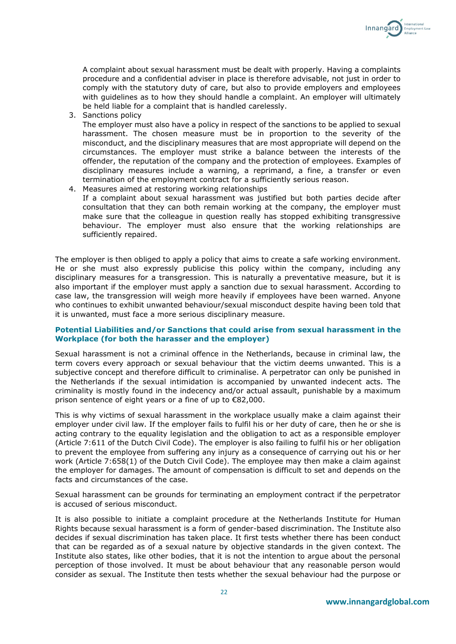

3. Sanctions policy

The employer must also have a policy in respect of the sanctions to be applied to sexual harassment. The chosen measure must be in proportion to the severity of the misconduct, and the disciplinary measures that are most appropriate will depend on the circumstances. The employer must strike a balance between the interests of the offender, the reputation of the company and the protection of employees. Examples of disciplinary measures include a warning, a reprimand, a fine, a transfer or even termination of the employment contract for a sufficiently serious reason.

4. Measures aimed at restoring working relationships If a complaint about sexual harassment was justified but both parties decide after consultation that they can both remain working at the company, the employer must make sure that the colleague in question really has stopped exhibiting transgressive behaviour. The employer must also ensure that the working relationships are sufficiently repaired.

The employer is then obliged to apply a policy that aims to create a safe working environment. He or she must also expressly publicise this policy within the company, including any disciplinary measures for a transgression. This is naturally a preventative measure, but it is also important if the employer must apply a sanction due to sexual harassment. According to case law, the transgression will weigh more heavily if employees have been warned. Anyone who continues to exhibit unwanted behaviour/sexual misconduct despite having been told that it is unwanted, must face a more serious disciplinary measure.

## **Potential Liabilities and/or Sanctions that could arise from sexual harassment in the Workplace (for both the harasser and the employer)**

Sexual harassment is not a criminal offence in the Netherlands, because in criminal law, the term covers every approach or sexual behaviour that the victim deems unwanted. This is a subjective concept and therefore difficult to criminalise. A perpetrator can only be punished in the Netherlands if the sexual intimidation is accompanied by unwanted indecent acts. The criminality is mostly found in the indecency and/or actual assault, punishable by a maximum prison sentence of eight years or a fine of up to €82,000.

This is why victims of sexual harassment in the workplace usually make a claim against their employer under civil law. If the employer fails to fulfil his or her duty of care, then he or she is acting contrary to the equality legislation and the obligation to act as a responsible employer (Article 7:611 of the Dutch Civil Code). The employer is also failing to fulfil his or her obligation to prevent the employee from suffering any injury as a consequence of carrying out his or her work (Article 7:658(1) of the Dutch Civil Code). The employee may then make a claim against the employer for damages. The amount of compensation is difficult to set and depends on the facts and circumstances of the case.

Sexual harassment can be grounds for terminating an employment contract if the perpetrator is accused of serious misconduct.

It is also possible to initiate a complaint procedure at the Netherlands Institute for Human Rights because sexual harassment is a form of gender-based discrimination. The Institute also decides if sexual discrimination has taken place. It first tests whether there has been conduct that can be regarded as of a sexual nature by objective standards in the given context. The Institute also states, like other bodies, that it is not the intention to argue about the personal perception of those involved. It must be about behaviour that any reasonable person would consider as sexual. The Institute then tests whether the sexual behaviour had the purpose or

Innangard

**Employment Law**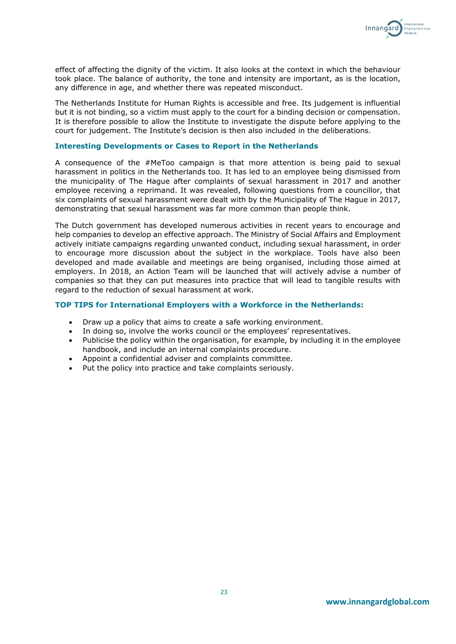

effect of affecting the dignity of the victim. It also looks at the context in which the behaviour took place. The balance of authority, the tone and intensity are important, as is the location, any difference in age, and whether there was repeated misconduct.

The Netherlands Institute for Human Rights is accessible and free. Its judgement is influential but it is not binding, so a victim must apply to the court for a binding decision or compensation. It is therefore possible to allow the Institute to investigate the dispute before applying to the court for judgement. The Institute's decision is then also included in the deliberations.

#### **Interesting Developments or Cases to Report in the Netherlands**

A consequence of the #MeToo campaign is that more attention is being paid to sexual harassment in politics in the Netherlands too. It has led to an employee being dismissed from the municipality of The Hague after complaints of sexual harassment in 2017 and another employee receiving a reprimand. It was revealed, following questions from a councillor, that six complaints of sexual harassment were dealt with by the Municipality of The Hague in 2017, demonstrating that sexual harassment was far more common than people think.

The Dutch government has developed numerous activities in recent years to encourage and help companies to develop an effective approach. The Ministry of Social Affairs and Employment actively initiate campaigns regarding unwanted conduct, including sexual harassment, in order to encourage more discussion about the subject in the workplace. Tools have also been developed and made available and meetings are being organised, including those aimed at employers. In 2018, an Action Team will be launched that will actively advise a number of companies so that they can put measures into practice that will lead to tangible results with regard to the reduction of sexual harassment at work.

## **TOP TIPS for International Employers with a Workforce in the Netherlands:**

- Draw up a policy that aims to create a safe working environment.
- In doing so, involve the works council or the employees' representatives.
- Publicise the policy within the organisation, for example, by including it in the employee handbook, and include an internal complaints procedure.
- Appoint a confidential adviser and complaints committee.
- Put the policy into practice and take complaints seriously.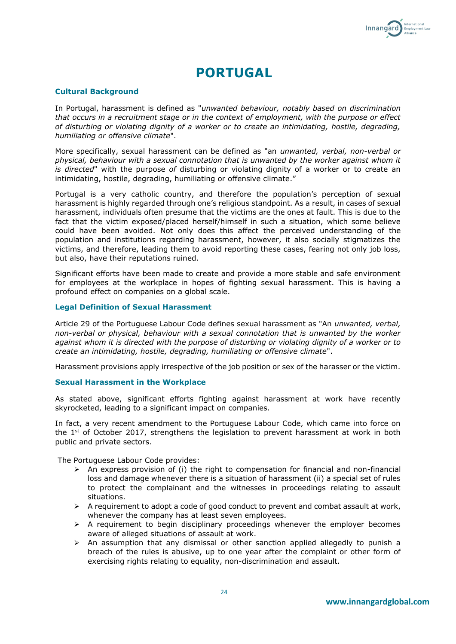

# **PORTUGAL**

#### **Cultural Background**

In Portugal, harassment is defined as "*unwanted behaviour, notably based on discrimination that occurs in a recruitment stage or in the context of employment, with the purpose or effect of disturbing or violating dignity of a worker or to create an intimidating, hostile, degrading, humiliating or offensive climate*".

More specifically, sexual harassment can be defined as "an *unwanted, verbal, non-verbal or physical, behaviour with a sexual connotation that is unwanted by the worker against whom it is directed*" with the purpose *of* disturbing or violating dignity of a worker or to create an intimidating, hostile, degrading, humiliating or offensive climate."

Portugal is a very catholic country, and therefore the population's perception of sexual harassment is highly regarded through one's religious standpoint. As a result, in cases of sexual harassment, individuals often presume that the victims are the ones at fault. This is due to the fact that the victim exposed/placed herself/himself in such a situation, which some believe could have been avoided. Not only does this affect the perceived understanding of the population and institutions regarding harassment, however, it also socially stigmatizes the victims, and therefore, leading them to avoid reporting these cases, fearing not only job loss, but also, have their reputations ruined.

Significant efforts have been made to create and provide a more stable and safe environment for employees at the workplace in hopes of fighting sexual harassment. This is having a profound effect on companies on a global scale.

#### **Legal Definition of Sexual Harassment**

Article 29 of the Portuguese Labour Code defines sexual harassment as "An *unwanted, verbal, non-verbal or physical, behaviour with a sexual connotation that is unwanted by the worker against whom it is directed with the purpose of disturbing or violating dignity of a worker or to create an intimidating, hostile, degrading, humiliating or offensive climate*".

Harassment provisions apply irrespective of the job position or sex of the harasser or the victim.

## **Sexual Harassment in the Workplace**

As stated above, significant efforts fighting against harassment at work have recently skyrocketed, leading to a significant impact on companies.

In fact, a very recent amendment to the Portuguese Labour Code, which came into force on the  $1<sup>st</sup>$  of October 2017, strengthens the legislation to prevent harassment at work in both public and private sectors.

The Portuguese Labour Code provides:

- $\triangleright$  An express provision of (i) the right to compensation for financial and non-financial loss and damage whenever there is a situation of harassment (ii) a special set of rules to protect the complainant and the witnesses in proceedings relating to assault situations.
- ➢ A requirement to adopt a code of good conduct to prevent and combat assault at work, whenever the company has at least seven employees.
- $\triangleright$  A requirement to begin disciplinary proceedings whenever the employer becomes aware of alleged situations of assault at work.
- $\triangleright$  An assumption that any dismissal or other sanction applied allegedly to punish a breach of the rules is abusive, up to one year after the complaint or other form of exercising rights relating to equality, non-discrimination and assault.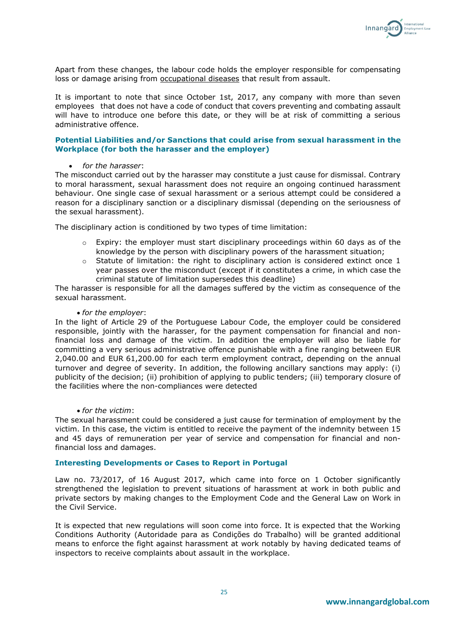

Apart from these changes, the labour code holds the employer responsible for compensating loss or damage arising from **occupational diseases** that result from assault.

It is important to note that since October 1st, 2017, any company with more than seven employees that does not have a code of conduct that covers preventing and combating assault will have to introduce one before this date, or they will be at risk of committing a serious administrative offence.

## **Potential Liabilities and/or Sanctions that could arise from sexual harassment in the Workplace (for both the harasser and the employer)**

## • *for the harasser*:

The misconduct carried out by the harasser may constitute a just cause for dismissal. Contrary to moral harassment, sexual harassment does not require an ongoing continued harassment behaviour. One single case of sexual harassment or a serious attempt could be considered a reason for a disciplinary sanction or a disciplinary dismissal (depending on the seriousness of the sexual harassment).

The disciplinary action is conditioned by two types of time limitation:

- $\circ$  Expiry: the employer must start disciplinary proceedings within 60 days as of the knowledge by the person with disciplinary powers of the harassment situation;
- o Statute of limitation: the right to disciplinary action is considered extinct once 1 year passes over the misconduct (except if it constitutes a crime, in which case the criminal statute of limitation supersedes this deadline)

The harasser is responsible for all the damages suffered by the victim as consequence of the sexual harassment.

#### • *for the employer*:

In the light of Article 29 of the Portuguese Labour Code, the employer could be considered responsible, jointly with the harasser, for the payment compensation for financial and nonfinancial loss and damage of the victim. In addition the employer will also be liable for committing a very serious administrative offence punishable with a fine ranging between EUR 2,040.00 and EUR 61,200.00 for each term employment contract, depending on the annual turnover and degree of severity. In addition, the following ancillary sanctions may apply: (i) publicity of the decision; (ii) prohibition of applying to public tenders; (iii) temporary closure of the facilities where the non-compliances were detected

## • *for the victim*:

The sexual harassment could be considered a just cause for termination of employment by the victim. In this case, the victim is entitled to receive the payment of the indemnity between 15 and 45 days of remuneration per year of service and compensation for financial and nonfinancial loss and damages.

## **Interesting Developments or Cases to Report in Portugal**

Law no. 73/2017, of 16 August 2017, which came into force on 1 October significantly strengthened the legislation to prevent situations of harassment at work in both public and private sectors by making changes to the Employment Code and the General Law on Work in the Civil Service.

It is expected that new regulations will soon come into force. It is expected that the Working Conditions Authority (Autoridade para as Condições do Trabalho) will be granted additional means to enforce the fight against harassment at work notably by having dedicated teams of inspectors to receive complaints about assault in the workplace.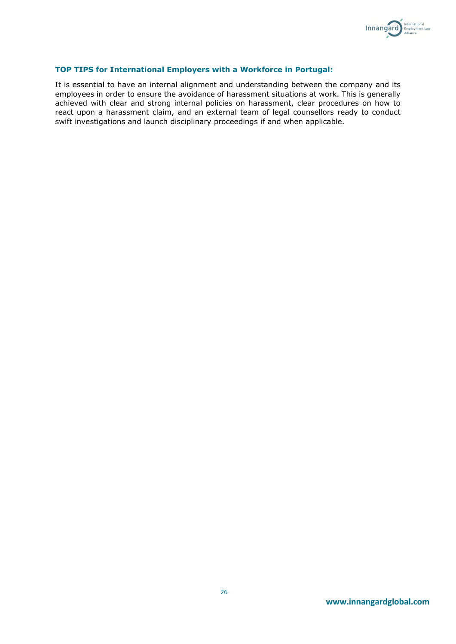

## **TOP TIPS for International Employers with a Workforce in Portugal:**

It is essential to have an internal alignment and understanding between the company and its employees in order to ensure the avoidance of harassment situations at work. This is generally achieved with clear and strong internal policies on harassment, clear procedures on how to react upon a harassment claim, and an external team of legal counsellors ready to conduct swift investigations and launch disciplinary proceedings if and when applicable.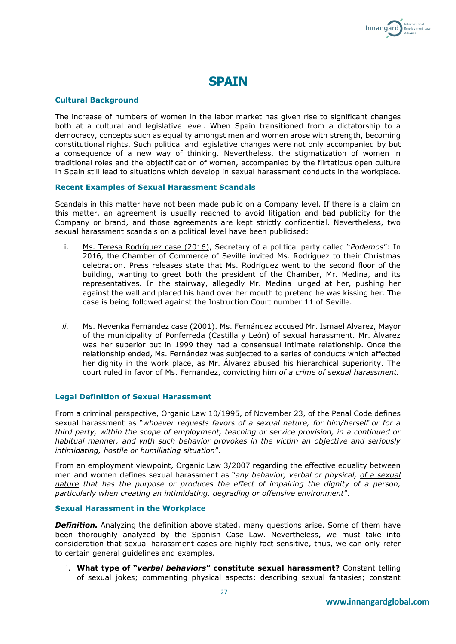

## **SPAIN**

## **Cultural Background**

The increase of numbers of women in the labor market has given rise to significant changes both at a cultural and legislative level. When Spain transitioned from a dictatorship to a democracy, concepts such as equality amongst men and women arose with strength, becoming constitutional rights. Such political and legislative changes were not only accompanied by but a consequence of a new way of thinking. Nevertheless, the stigmatization of women in traditional roles and the objectification of women, accompanied by the flirtatious open culture in Spain still lead to situations which develop in sexual harassment conducts in the workplace.

## **Recent Examples of Sexual Harassment Scandals**

Scandals in this matter have not been made public on a Company level. If there is a claim on this matter, an agreement is usually reached to avoid litigation and bad publicity for the Company or brand, and those agreements are kept strictly confidential. Nevertheless, two sexual harassment scandals on a political level have been publicised:

- i. Ms. Teresa Rodríguez case (2016), Secretary of a political party called "*Podemos*": In 2016, the Chamber of Commerce of Seville invited Ms. Rodríguez to their Christmas celebration. Press releases state that Ms. Rodríguez went to the second floor of the building, wanting to greet both the president of the Chamber, Mr. Medina, and its representatives. In the stairway, allegedly Mr. Medina lunged at her, pushing her against the wall and placed his hand over her mouth to pretend he was kissing her. The case is being followed against the Instruction Court number 11 of Seville.
- *ii.* Ms. Nevenka Fernández case (2001). Ms. Fernández accused Mr. Ismael Álvarez, Mayor of the municipality of Ponferreda (Castilla y León) of sexual harassment. Mr. Álvarez was her superior but in 1999 they had a consensual intimate relationship. Once the relationship ended, Ms. Fernández was subjected to a series of conducts which affected her dignity in the work place, as Mr. Álvarez abused his hierarchical superiority. The court ruled in favor of Ms. Fernández, convicting him *of a crime of sexual harassment.*

## **Legal Definition of Sexual Harassment**

From a criminal perspective, Organic Law 10/1995, of November 23, of the Penal Code defines sexual harassment as "*whoever requests favors of a sexual nature, for him/herself or for a third party, within the scope of employment, teaching or service provision, in a continued or habitual manner, and with such behavior provokes in the victim an objective and seriously intimidating, hostile or humiliating situation*".

From an employment viewpoint, Organic Law 3/2007 regarding the effective equality between men and women defines sexual harassment as "*any behavior, verbal or physical, of a sexual nature that has the purpose or produces the effect of impairing the dignity of a person, particularly when creating an intimidating, degrading or offensive environment*".

## **Sexual Harassment in the Workplace**

**Definition.** Analyzing the definition above stated, many questions arise. Some of them have been thoroughly analyzed by the Spanish Case Law. Nevertheless, we must take into consideration that sexual harassment cases are highly fact sensitive, thus, we can only refer to certain general guidelines and examples.

i. **What type of "***verbal behaviors***" constitute sexual harassment?** Constant telling of sexual jokes; commenting physical aspects; describing sexual fantasies; constant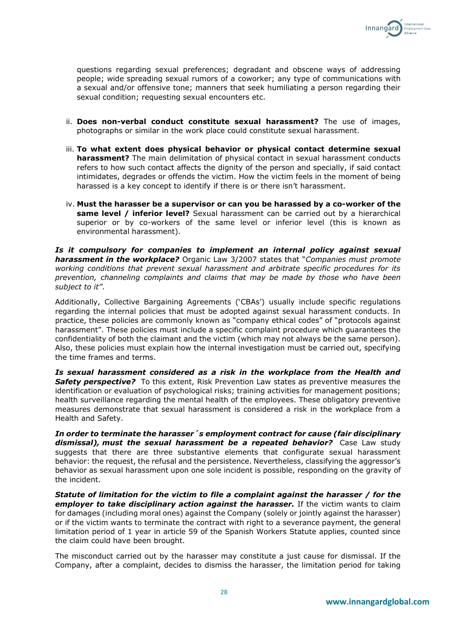

questions regarding sexual preferences; degradant and obscene ways of addressing people; wide spreading sexual rumors of a coworker; any type of communications with a sexual and/or offensive tone; manners that seek humiliating a person regarding their sexual condition; requesting sexual encounters etc.

- ii. **Does non-verbal conduct constitute sexual harassment?** The use of images, photographs or similar in the work place could constitute sexual harassment.
- iii. **To what extent does physical behavior or physical contact determine sexual harassment?** The main delimitation of physical contact in sexual harassment conducts refers to how such contact affects the dignity of the person and specially, if said contact intimidates, degrades or offends the victim. How the victim feels in the moment of being harassed is a key concept to identify if there is or there isn't harassment.
- iv. **Must the harasser be a supervisor or can you be harassed by a co-worker of the same level / inferior level?** Sexual harassment can be carried out by a hierarchical superior or by co-workers of the same level or inferior level (this is known as environmental harassment).

*Is it compulsory for companies to implement an internal policy against sexual harassment in the workplace?* Organic Law 3/2007 states that "*Companies must promote working conditions that prevent sexual harassment and arbitrate specific procedures for its prevention, channeling complaints and claims that may be made by those who have been subject to it"*.

Additionally, Collective Bargaining Agreements ('CBAs') usually include specific regulations regarding the internal policies that must be adopted against sexual harassment conducts. In practice, these policies are commonly known as "company ethical codes" of "protocols against harassment". These policies must include a specific complaint procedure which guarantees the confidentiality of both the claimant and the victim (which may not always be the same person). Also, these policies must explain how the internal investigation must be carried out, specifying the time frames and terms.

*Is sexual harassment considered as a risk in the workplace from the Health and*  **Safety perspective?** To this extent, Risk Prevention Law states as preventive measures the identification or evaluation of psychological risks; training activities for management positions; health surveillance regarding the mental health of the employees. These obligatory preventive measures demonstrate that sexual harassment is considered a risk in the workplace from a Health and Safety.

*In order to terminate the harasser´s employment contract for cause (fair disciplinary dismissal), must the sexual harassment be a repeated behavior?* Case Law study suggests that there are three substantive elements that configurate sexual harassment behavior: the request, the refusal and the persistence. Nevertheless, classifying the aggressor's behavior as sexual harassment upon one sole incident is possible, responding on the gravity of the incident.

*Statute of limitation for the victim to file a complaint against the harasser / for the employer to take disciplinary action against the harasser.* If the victim wants to claim for damages (including moral ones) against the Company (solely or jointly against the harasser) or if the victim wants to terminate the contract with right to a severance payment, the general limitation period of 1 year in article 59 of the Spanish Workers Statute applies, counted since the claim could have been brought.

The misconduct carried out by the harasser may constitute a just cause for dismissal. If the Company, after a complaint, decides to dismiss the harasser, the limitation period for taking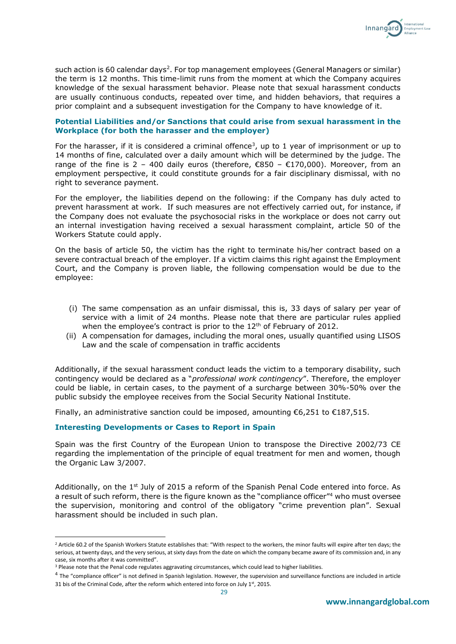

such action is 60 calendar days<sup>2</sup>. For top management employees (General Managers or similar) the term is 12 months. This time-limit runs from the moment at which the Company acquires knowledge of the sexual harassment behavior. Please note that sexual harassment conducts are usually continuous conducts, repeated over time, and hidden behaviors, that requires a prior complaint and a subsequent investigation for the Company to have knowledge of it.

## **Potential Liabilities and/or Sanctions that could arise from sexual harassment in the Workplace (for both the harasser and the employer)**

For the harasser, if it is considered a criminal offence<sup>3</sup>, up to 1 year of imprisonment or up to 14 months of fine, calculated over a daily amount which will be determined by the judge. The range of the fine is 2 – 400 daily euros (therefore,  $\epsilon$ 850 –  $\epsilon$ 170,000). Moreover, from an employment perspective, it could constitute grounds for a fair disciplinary dismissal, with no right to severance payment.

For the employer, the liabilities depend on the following: if the Company has duly acted to prevent harassment at work. If such measures are not effectively carried out, for instance, if the Company does not evaluate the psychosocial risks in the workplace or does not carry out an internal investigation having received a sexual harassment complaint, article 50 of the Workers Statute could apply.

On the basis of article 50, the victim has the right to terminate his/her contract based on a severe contractual breach of the employer. If a victim claims this right against the Employment Court, and the Company is proven liable, the following compensation would be due to the employee:

- (i) The same compensation as an unfair dismissal, this is, 33 days of salary per year of service with a limit of 24 months. Please note that there are particular rules applied when the employee's contract is prior to the 12<sup>th</sup> of February of 2012.
- (ii) A compensation for damages, including the moral ones, usually quantified using LISOS Law and the scale of compensation in traffic accidents

Additionally, if the sexual harassment conduct leads the victim to a temporary disability, such contingency would be declared as a "*professional work contingency*". Therefore, the employer could be liable, in certain cases, to the payment of a surcharge between 30%-50% over the public subsidy the employee receives from the Social Security National Institute.

Finally, an administrative sanction could be imposed, amounting  $\epsilon$ 6,251 to  $\epsilon$ 187,515.

## **Interesting Developments or Cases to Report in Spain**

**.** 

Spain was the first Country of the European Union to transpose the Directive 2002/73 CE regarding the implementation of the principle of equal treatment for men and women, though the Organic Law 3/2007.

Additionally, on the  $1<sup>st</sup>$  July of 2015 a reform of the Spanish Penal Code entered into force. As a result of such reform, there is the figure known as the "compliance officer"<sup>4</sup> who must oversee the supervision, monitoring and control of the obligatory "crime prevention plan". Sexual harassment should be included in such plan.

<sup>&</sup>lt;sup>2</sup> Article 60.2 of the Spanish Workers Statute establishes that: "With respect to the workers, the minor faults will expire after ten days; the serious, at twenty days, and the very serious, at sixty days from the date on which the company became aware of its commission and, in any case, six months after it was committed".

<sup>3</sup> Please note that the Penal code regulates aggravating circumstances, which could lead to higher liabilities.

<sup>&</sup>lt;sup>4</sup> The "compliance officer" is not defined in Spanish legislation. However, the supervision and surveillance functions are included in article 31 bis of the Criminal Code, after the reform which entered into force on July 1st, 2015.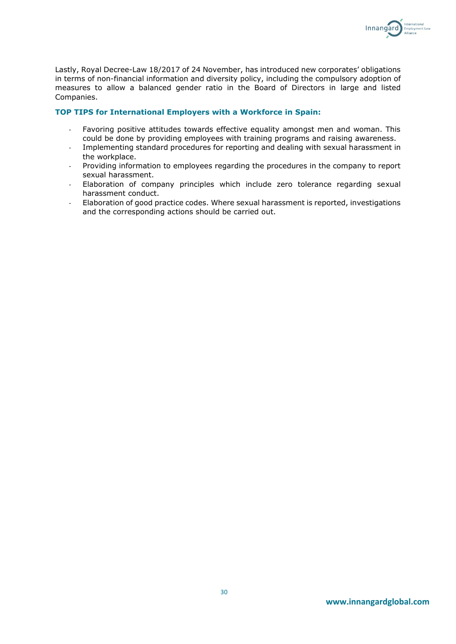

Lastly, Royal Decree-Law 18/2017 of 24 November, has introduced new corporates' obligations in terms of non-financial information and diversity policy, including the compulsory adoption of measures to allow a balanced gender ratio in the Board of Directors in large and listed Companies.

## **TOP TIPS for International Employers with a Workforce in Spain:**

- Favoring positive attitudes towards effective equality amongst men and woman. This could be done by providing employees with training programs and raising awareness.
- Implementing standard procedures for reporting and dealing with sexual harassment in the workplace.
- Providing information to employees regarding the procedures in the company to report sexual harassment.
- Elaboration of company principles which include zero tolerance regarding sexual harassment conduct.
- Elaboration of good practice codes. Where sexual harassment is reported, investigations and the corresponding actions should be carried out.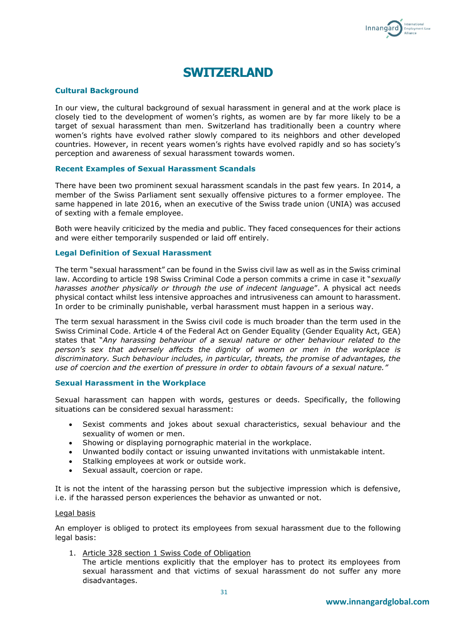

## **SWITZERLAND**

## **Cultural Background**

In our view, the cultural background of sexual harassment in general and at the work place is closely tied to the development of women's rights, as women are by far more likely to be a target of sexual harassment than men. Switzerland has traditionally been a country where women's rights have evolved rather slowly compared to its neighbors and other developed countries. However, in recent years women's rights have evolved rapidly and so has society's perception and awareness of sexual harassment towards women.

#### **Recent Examples of Sexual Harassment Scandals**

There have been two prominent sexual harassment scandals in the past few years. In 2014, a member of the Swiss Parliament sent sexually offensive pictures to a former employee. The same happened in late 2016, when an executive of the Swiss trade union (UNIA) was accused of sexting with a female employee.

Both were heavily criticized by the media and public. They faced consequences for their actions and were either temporarily suspended or laid off entirely.

#### **Legal Definition of Sexual Harassment**

The term "sexual harassment" can be found in the Swiss civil law as well as in the Swiss criminal law. According to article 198 Swiss Criminal Code a person commits a crime in case it "*sexually harasses another physically or through the use of indecent language*". A physical act needs physical contact whilst less intensive approaches and intrusiveness can amount to harassment. In order to be criminally punishable, verbal harassment must happen in a serious way.

The term sexual harassment in the Swiss civil code is much broader than the term used in the Swiss Criminal Code. Article 4 of the Federal Act on Gender Equality (Gender Equality Act, GEA) states that "*Any harassing behaviour of a sexual nature or other behaviour related to the person's sex that adversely affects the dignity of women or men in the workplace is discriminatory. Such behaviour includes, in particular, threats, the promise of advantages, the use of coercion and the exertion of pressure in order to obtain favours of a sexual nature."*

#### **Sexual Harassment in the Workplace**

Sexual harassment can happen with words, gestures or deeds. Specifically, the following situations can be considered sexual harassment:

- Sexist comments and jokes about sexual characteristics, sexual behaviour and the sexuality of women or men.
- Showing or displaying pornographic material in the workplace.
- Unwanted bodily contact or issuing unwanted invitations with unmistakable intent.
- Stalking employees at work or outside work.
- Sexual assault, coercion or rape.

It is not the intent of the harassing person but the subjective impression which is defensive, i.e. if the harassed person experiences the behavior as unwanted or not.

#### Legal basis

An employer is obliged to protect its employees from sexual harassment due to the following legal basis:

1. Article 328 section 1 Swiss Code of Obligation

The article mentions explicitly that the employer has to protect its employees from sexual harassment and that victims of sexual harassment do not suffer any more disadvantages.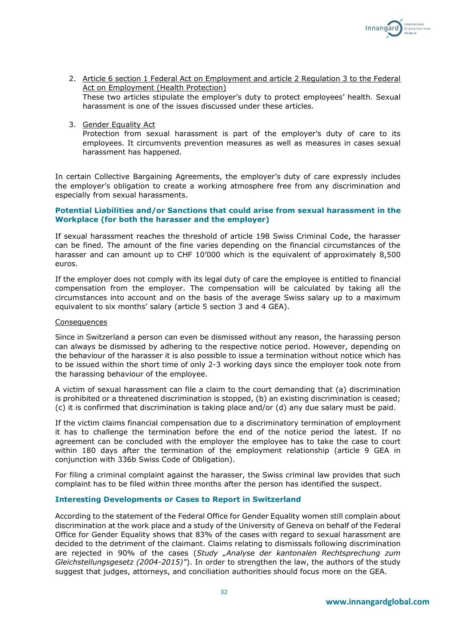

- 2. Article 6 section 1 Federal Act on Employment and article 2 Regulation 3 to the Federal Act on Employment (Health Protection) These two articles stipulate the employer's duty to protect employees' health. Sexual harassment is one of the issues discussed under these articles.
- 3. Gender Equality Act

Protection from sexual harassment is part of the employer's duty of care to its employees. It circumvents prevention measures as well as measures in cases sexual harassment has happened.

In certain Collective Bargaining Agreements, the employer's duty of care expressly includes the employer's obligation to create a working atmosphere free from any discrimination and especially from sexual harassments.

## **Potential Liabilities and/or Sanctions that could arise from sexual harassment in the Workplace (for both the harasser and the employer)**

If sexual harassment reaches the threshold of article 198 Swiss Criminal Code, the harasser can be fined. The amount of the fine varies depending on the financial circumstances of the harasser and can amount up to CHF 10'000 which is the equivalent of approximately 8,500 euros.

If the employer does not comply with its legal duty of care the employee is entitled to financial compensation from the employer. The compensation will be calculated by taking all the circumstances into account and on the basis of the average Swiss salary up to a maximum equivalent to six months' salary (article 5 section 3 and 4 GEA).

#### Consequences

Since in Switzerland a person can even be dismissed without any reason, the harassing person can always be dismissed by adhering to the respective notice period. However, depending on the behaviour of the harasser it is also possible to issue a termination without notice which has to be issued within the short time of only 2-3 working days since the employer took note from the harassing behaviour of the employee.

A victim of sexual harassment can file a claim to the court demanding that (a) discrimination is prohibited or a threatened discrimination is stopped, (b) an existing discrimination is ceased; (c) it is confirmed that discrimination is taking place and/or (d) any due salary must be paid.

If the victim claims financial compensation due to a discriminatory termination of employment it has to challenge the termination before the end of the notice period the latest. If no agreement can be concluded with the employer the employee has to take the case to court within 180 days after the termination of the employment relationship (article 9 GEA in conjunction with 336b Swiss Code of Obligation).

For filing a criminal complaint against the harasser, the Swiss criminal law provides that such complaint has to be filed within three months after the person has identified the suspect.

## **Interesting Developments or Cases to Report in Switzerland**

According to the statement of the Federal Office for Gender Equality women still complain about discrimination at the work place and a study of the University of Geneva on behalf of the Federal Office for Gender Equality shows that 83% of the cases with regard to sexual harassment are decided to the detriment of the claimant. Claims relating to dismissals following discrimination are rejected in 90% of the cases (*Study "Analyse der kantonalen Rechtsprechung zum Gleichstellungsgesetz (2004-2015)"*). In order to strengthen the law, the authors of the study suggest that judges, attorneys, and conciliation authorities should focus more on the GEA.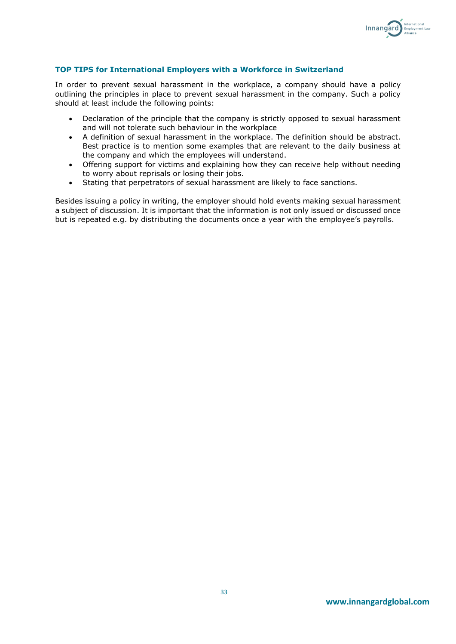

## **TOP TIPS for International Employers with a Workforce in Switzerland**

In order to prevent sexual harassment in the workplace, a company should have a policy outlining the principles in place to prevent sexual harassment in the company. Such a policy should at least include the following points:

- Declaration of the principle that the company is strictly opposed to sexual harassment and will not tolerate such behaviour in the workplace
- A definition of sexual harassment in the workplace. The definition should be abstract. Best practice is to mention some examples that are relevant to the daily business at the company and which the employees will understand.
- Offering support for victims and explaining how they can receive help without needing to worry about reprisals or losing their jobs.
- Stating that perpetrators of sexual harassment are likely to face sanctions.

Besides issuing a policy in writing, the employer should hold events making sexual harassment a subject of discussion. It is important that the information is not only issued or discussed once but is repeated e.g. by distributing the documents once a year with the employee's payrolls.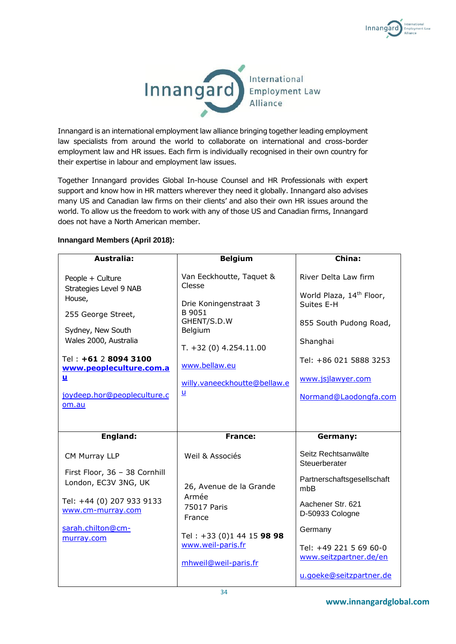



Innangard is an international employment law alliance bringing together leading employment law specialists from around the world to collaborate on international and cross-border employment law and HR issues. Each firm is individually recognised in their own country for their expertise in labour and employment law issues.

Together Innangard provides Global In-house Counsel and HR Professionals with expert support and know how in HR matters wherever they need it globally. Innangard also advises many US and Canadian law firms on their clients' and also their own HR issues around the world. To allow us the freedom to work with any of those US and Canadian firms, Innangard does not have a North American member.

## **Innangard Members (April 2018):**

| Australia:                                                                                                                                                                                                                      | <b>Belgium</b>                                                                                                                                                                          | China:                                                                                                                                                                                   |
|---------------------------------------------------------------------------------------------------------------------------------------------------------------------------------------------------------------------------------|-----------------------------------------------------------------------------------------------------------------------------------------------------------------------------------------|------------------------------------------------------------------------------------------------------------------------------------------------------------------------------------------|
| People + Culture<br>Strategies Level 9 NAB<br>House,<br>255 George Street,<br>Sydney, New South<br>Wales 2000, Australia<br>Tel: +61 2 8094 3100<br>www.peopleculture.com.a<br><u>и</u><br>joydeep.hor@peopleculture.c<br>om.au | Van Eeckhoutte, Taquet &<br>Clesse<br>Drie Koningenstraat 3<br>B 9051<br>GHENT/S.D.W<br>Belgium<br>$T. +32(0)$ 4.254.11.00<br>www.bellaw.eu<br>willy.vaneeckhoutte@bellaw.e<br><u>u</u> | River Delta Law firm<br>World Plaza, 14 <sup>th</sup> Floor,<br>Suites E-H<br>855 South Pudong Road,<br>Shanghai<br>Tel: +86 021 5888 3253<br>www.jsjlawyer.com<br>Normand@Laodongfa.com |
| England:                                                                                                                                                                                                                        | <b>France:</b>                                                                                                                                                                          | Germany:                                                                                                                                                                                 |
| CM Murray LLP<br>First Floor, 36 - 38 Cornhill<br>London, EC3V 3NG, UK<br>Tel: +44 (0) 207 933 9133<br>www.cm-murray.com<br>sarah.chilton@cm-<br>murray.com                                                                     | Weil & Associés<br>26, Avenue de la Grande<br>Armée<br>75017 Paris<br>France<br>Tel: +33 (0)1 44 15 98 98<br>www.weil-paris.fr<br>mhweil@weil-paris.fr                                  | Seitz Rechtsanwälte<br>Steuerberater<br>Partnerschaftsgesellschaft<br>mbB<br>Aachener Str. 621<br>D-50933 Cologne<br>Germany<br>Tel: +49 221 5 69 60-0<br>www.seitzpartner.de/en         |
|                                                                                                                                                                                                                                 |                                                                                                                                                                                         |                                                                                                                                                                                          |